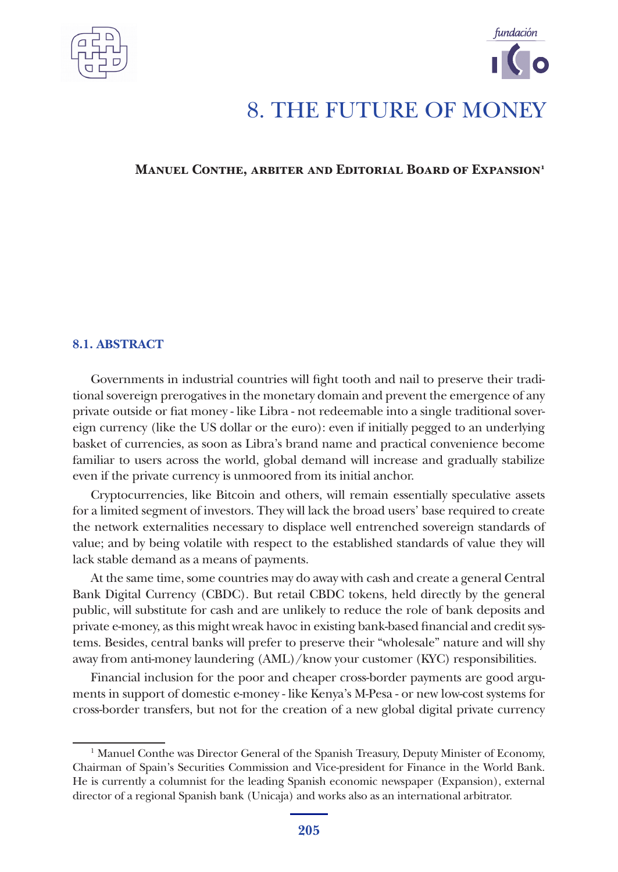



# 8. THE FUTURE OF MONEY

MANUEL CONTHE, ARBITER AND EDITORIAL BOARD OF EXPANSION<sup>1</sup>

#### **8.1. ABSTRACT**

Governments in industrial countries will fight tooth and nail to preserve their traditional sovereign prerogatives in the monetary domain and prevent the emergence of any private outside or fiat money - like Libra - not redeemable into a single traditional sovereign currency (like the US dollar or the euro): even if initially pegged to an underlying basket of currencies, as soon as Libra's brand name and practical convenience become familiar to users across the world, global demand will increase and gradually stabilize even if the private currency is unmoored from its initial anchor.

Cryptocurrencies, like Bitcoin and others, will remain essentially speculative assets for a limited segment of investors. They will lack the broad users' base required to create the network externalities necessary to displace well entrenched sovereign standards of value; and by being volatile with respect to the established standards of value they will lack stable demand as a means of payments.

At the same time, some countries may do away with cash and create a general Central Bank Digital Currency (CBDC). But retail CBDC tokens, held directly by the general public, will substitute for cash and are unlikely to reduce the role of bank deposits and private e-money, as this might wreak havoc in existing bank-based financial and credit systems. Besides, central banks will prefer to preserve their "wholesale" nature and will shy away from anti-money laundering (AML)/know your customer (KYC) responsibilities.

Financial inclusion for the poor and cheaper cross-border payments are good arguments in support of domestic e-money - like Kenya's M-Pesa - or new low-cost systems for cross-border transfers, but not for the creation of a new global digital private currency

<sup>&</sup>lt;sup>1</sup> Manuel Conthe was Director General of the Spanish Treasury, Deputy Minister of Economy, Chairman of Spain's Securities Commission and Vice-president for Finance in the World Bank. He is currently a columnist for the leading Spanish economic newspaper (Expansion), external director of a regional Spanish bank (Unicaja) and works also as an international arbitrator.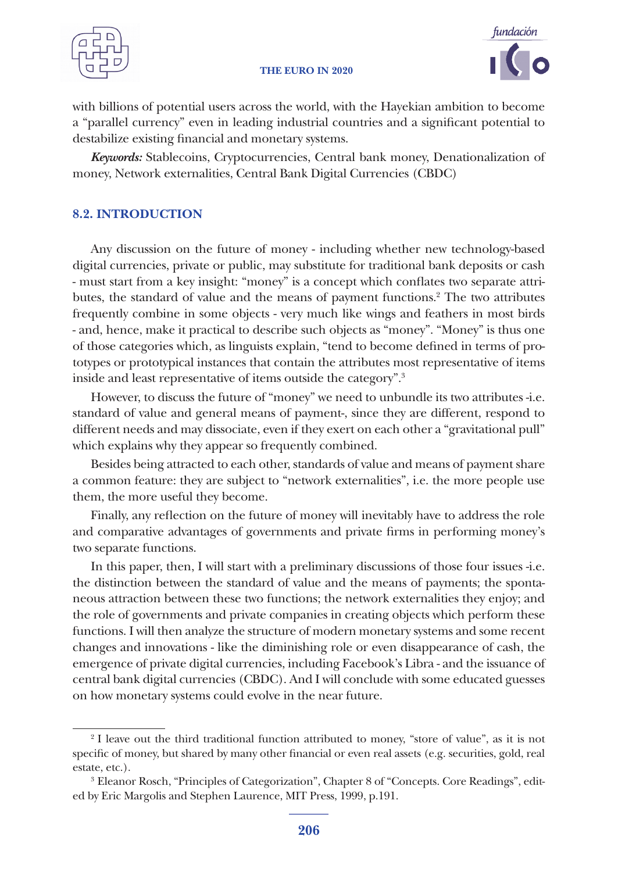



with billions of potential users across the world, with the Hayekian ambition to become a "parallel currency" even in leading industrial countries and a significant potential to destabilize existing financial and monetary systems.

*Keywords:* Stablecoins, Cryptocurrencies, Central bank money, Denationalization of money, Network externalities, Central Bank Digital Currencies (CBDC)

## **8.2. INTRODUCTION**

Any discussion on the future of money - including whether new technology-based digital currencies, private or public, may substitute for traditional bank deposits or cash - must start from a key insight: "money" is a concept which conflates two separate attributes, the standard of value and the means of payment functions.<sup>2</sup> The two attributes frequently combine in some objects - very much like wings and feathers in most birds - and, hence, make it practical to describe such objects as "money". "Money" is thus one of those categories which, as linguists explain, "tend to become defined in terms of prototypes or prototypical instances that contain the attributes most representative of items inside and least representative of items outside the category".3

However, to discuss the future of "money" we need to unbundle its two attributes -i.e. standard of value and general means of payment-, since they are different, respond to different needs and may dissociate, even if they exert on each other a "gravitational pull" which explains why they appear so frequently combined.

Besides being attracted to each other, standards of value and means of payment share a common feature: they are subject to "network externalities", i.e. the more people use them, the more useful they become.

Finally, any reflection on the future of money will inevitably have to address the role and comparative advantages of governments and private firms in performing money's two separate functions.

In this paper, then, I will start with a preliminary discussions of those four issues -i.e. the distinction between the standard of value and the means of payments; the spontaneous attraction between these two functions; the network externalities they enjoy; and the role of governments and private companies in creating objects which perform these functions. I will then analyze the structure of modern monetary systems and some recent changes and innovations - like the diminishing role or even disappearance of cash, the emergence of private digital currencies, including Facebook's Libra - and the issuance of central bank digital currencies (CBDC). And I will conclude with some educated guesses on how monetary systems could evolve in the near future.

<sup>2</sup> I leave out the third traditional function attributed to money, "store of value", as it is not specific of money, but shared by many other financial or even real assets (e.g. securities, gold, real

estate, etc.). 3 Eleanor Rosch, "Principles of Categorization", Chapter 8 of "Concepts. Core Readings", edited by Eric Margolis and Stephen Laurence, MIT Press, 1999, p.191.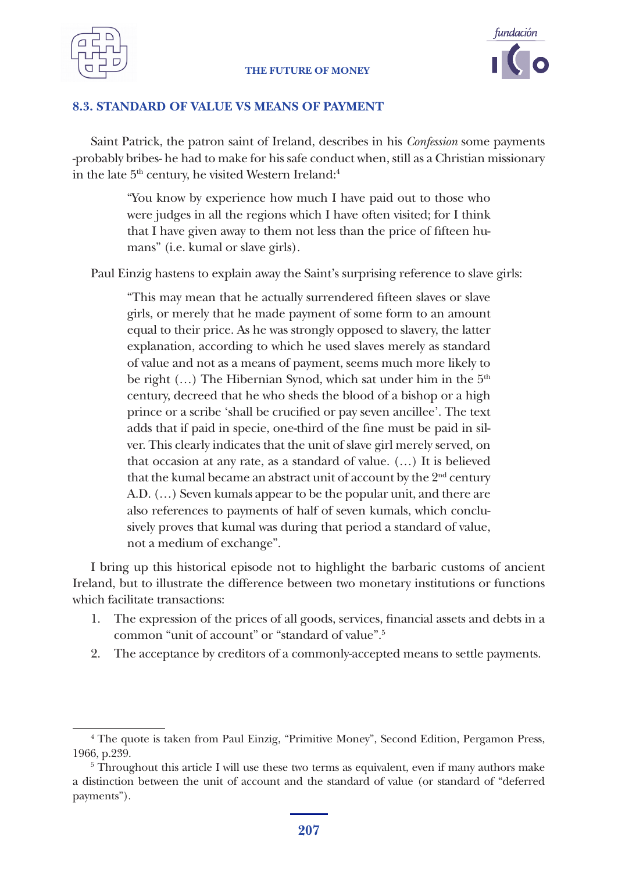



### **8.3. STANDARD OF VALUE VS MEANS OF PAYMENT**

Saint Patrick, the patron saint of Ireland, describes in his *Confession* some payments -probably bribes- he had to make for his safe conduct when, still as a Christian missionary in the late  $5<sup>th</sup>$  century, he visited Western Ireland:<sup>4</sup>

> "You know by experience how much I have paid out to those who were judges in all the regions which I have often visited; for I think that I have given away to them not less than the price of fifteen humans" (i.e. kumal or slave girls).

Paul Einzig hastens to explain away the Saint's surprising reference to slave girls:

"This may mean that he actually surrendered fifteen slaves or slave girls, or merely that he made payment of some form to an amount equal to their price. As he was strongly opposed to slavery, the latter explanation, according to which he used slaves merely as standard of value and not as a means of payment, seems much more likely to be right  $(...)$  The Hibernian Synod, which sat under him in the  $5<sup>th</sup>$ century, decreed that he who sheds the blood of a bishop or a high prince or a scribe 'shall be crucified or pay seven ancillee'. The text adds that if paid in specie, one-third of the fine must be paid in silver. This clearly indicates that the unit of slave girl merely served, on that occasion at any rate, as a standard of value. (…) It is believed that the kumal became an abstract unit of account by the  $2<sup>nd</sup>$  century A.D. (…) Seven kumals appear to be the popular unit, and there are also references to payments of half of seven kumals, which conclusively proves that kumal was during that period a standard of value, not a medium of exchange".

I bring up this historical episode not to highlight the barbaric customs of ancient Ireland, but to illustrate the difference between two monetary institutions or functions which facilitate transactions:

- 1. The expression of the prices of all goods, services, financial assets and debts in a common "unit of account" or "standard of value".5
- 2. The acceptance by creditors of a commonly-accepted means to settle payments.

<sup>4</sup> The quote is taken from Paul Einzig, "Primitive Money", Second Edition, Pergamon Press, 1966, p.239.

 $5$  Throughout this article I will use these two terms as equivalent, even if many authors make a distinction between the unit of account and the standard of value (or standard of "deferred payments").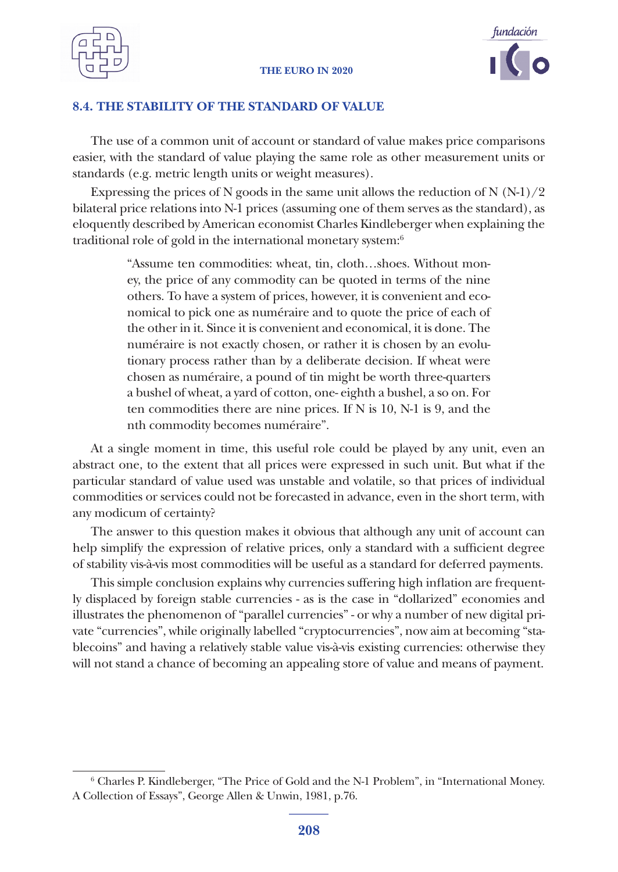



## **8.4. THE STABILITY OF THE STANDARD OF VALUE**

The use of a common unit of account or standard of value makes price comparisons easier, with the standard of value playing the same role as other measurement units or standards (e.g. metric length units or weight measures).

Expressing the prices of N goods in the same unit allows the reduction of N  $(N-1)/2$ bilateral price relations into N-1 prices (assuming one of them serves as the standard), as eloquently described by American economist Charles Kindleberger when explaining the traditional role of gold in the international monetary system:6

> "Assume ten commodities: wheat, tin, cloth…shoes. Without money, the price of any commodity can be quoted in terms of the nine others. To have a system of prices, however, it is convenient and economical to pick one as numéraire and to quote the price of each of the other in it. Since it is convenient and economical, it is done. The numéraire is not exactly chosen, or rather it is chosen by an evolutionary process rather than by a deliberate decision. If wheat were chosen as numéraire, a pound of tin might be worth three-quarters a bushel of wheat, a yard of cotton, one- eighth a bushel, a so on. For ten commodities there are nine prices. If N is 10, N-1 is 9, and the nth commodity becomes numéraire".

At a single moment in time, this useful role could be played by any unit, even an abstract one, to the extent that all prices were expressed in such unit. But what if the particular standard of value used was unstable and volatile, so that prices of individual commodities or services could not be forecasted in advance, even in the short term, with any modicum of certainty?

The answer to this question makes it obvious that although any unit of account can help simplify the expression of relative prices, only a standard with a sufficient degree of stability vis-à-vis most commodities will be useful as a standard for deferred payments.

This simple conclusion explains why currencies suffering high inflation are frequently displaced by foreign stable currencies - as is the case in "dollarized" economies and illustrates the phenomenon of "parallel currencies" - or why a number of new digital private "currencies", while originally labelled "cryptocurrencies", now aim at becoming "stablecoins" and having a relatively stable value vis-à-vis existing currencies: otherwise they will not stand a chance of becoming an appealing store of value and means of payment.

<sup>6</sup> Charles P. Kindleberger, "The Price of Gold and the N-1 Problem", in "International Money. A Collection of Essays", George Allen & Unwin, 1981, p.76.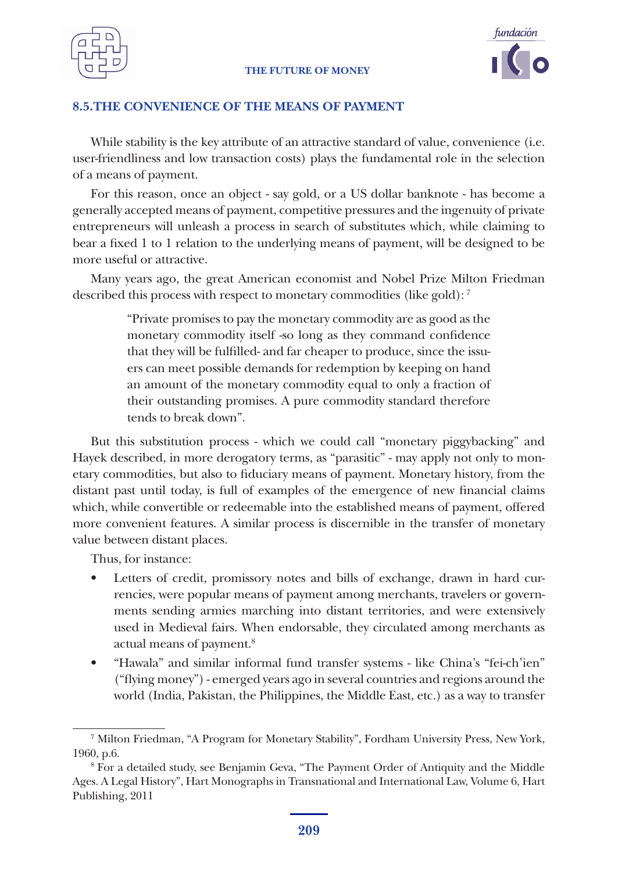



## **8.5.THE CONVENIENCE OF THE MEANS OF PAYMENT**

While stability is the key attribute of an attractive standard of value, convenience (i.e. user-friendliness and low transaction costs) plays the fundamental role in the selection of a means of payment.

For this reason, once an object - say gold, or a US dollar banknote - has become a generally accepted means of payment, competitive pressures and the ingenuity of private entrepreneurs will unleash a process in search of substitutes which, while claiming to bear a fixed 1 to 1 relation to the underlying means of payment, will be designed to be more useful or attractive.

Many years ago, the great American economist and Nobel Prize Milton Friedman described this process with respect to monetary commodities (like gold): *<sup>7</sup>*

> "Private promises to pay the monetary commodity are as good as the monetary commodity itself -so long as they command confidence that they will be fulfilled- and far cheaper to produce, since the issuers can meet possible demands for redemption by keeping on hand an amount of the monetary commodity equal to only a fraction of their outstanding promises. A pure commodity standard therefore tends to break down".

But this substitution process - which we could call "monetary piggybacking" and Hayek described, in more derogatory terms, as "parasitic" - may apply not only to monetary commodities, but also to fiduciary means of payment. Monetary history, from the distant past until today, is full of examples of the emergence of new financial claims which, while convertible or redeemable into the established means of payment, offered more convenient features. A similar process is discernible in the transfer of monetary value between distant places.

Thus, for instance:

- Letters of credit, promissory notes and bills of exchange, drawn in hard currencies, were popular means of payment among merchants, travelers or governments sending armies marching into distant territories, and were extensively used in Medieval fairs. When endorsable, they circulated among merchants as actual means of payment.8
- "Hawala" and similar informal fund transfer systems like China's "fei-ch'ien" ("flying money") - emerged years ago in several countries and regions around the world (India, Pakistan, the Philippines, the Middle East, etc.) as a way to transfer

<sup>7</sup> Milton Friedman, "A Program for Monetary Stability", Fordham University Press, New York, 1960, p.6.

<sup>8</sup> For a detailed study, see Benjamin Geva, "The Payment Order of Antiquity and the Middle Ages. A Legal History", Hart Monographs in Transnational and International Law, Volume 6, Hart Publishing, 2011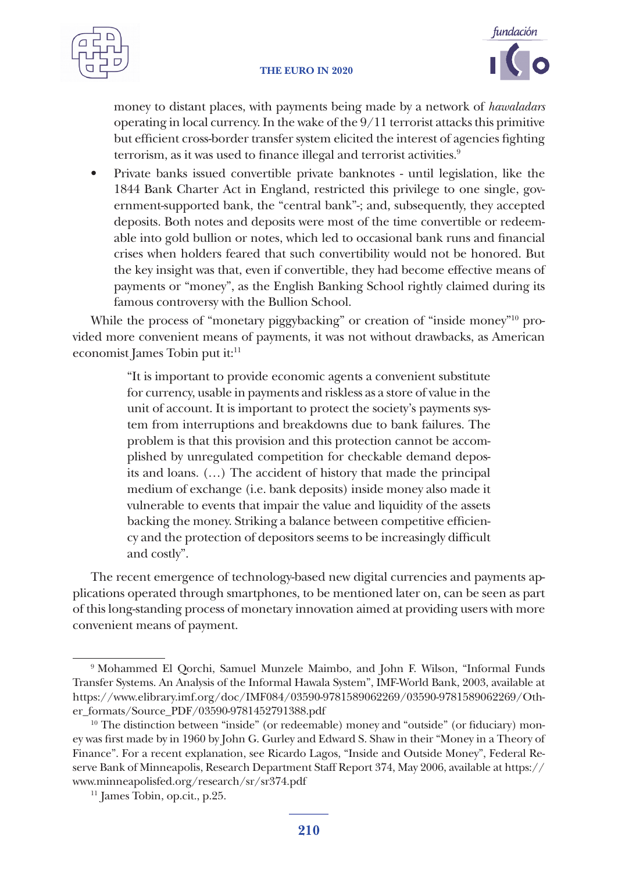



money to distant places, with payments being made by a network of *hawaladars* operating in local currency. In the wake of the 9/11 terrorist attacks this primitive but efficient cross-border transfer system elicited the interest of agencies fighting terrorism, as it was used to finance illegal and terrorist activities.<sup>9</sup>

• Private banks issued convertible private banknotes - until legislation, like the 1844 Bank Charter Act in England, restricted this privilege to one single, government-supported bank, the "central bank"-; and, subsequently, they accepted deposits. Both notes and deposits were most of the time convertible or redeemable into gold bullion or notes, which led to occasional bank runs and financial crises when holders feared that such convertibility would not be honored. But the key insight was that, even if convertible, they had become effective means of payments or "money", as the English Banking School rightly claimed during its famous controversy with the Bullion School.

While the process of "monetary piggybacking" or creation of "inside money"<sup>10</sup> provided more convenient means of payments, it was not without drawbacks, as American economist James Tobin put it:<sup>11</sup>

> "It is important to provide economic agents a convenient substitute for currency, usable in payments and riskless as a store of value in the unit of account. It is important to protect the society's payments system from interruptions and breakdowns due to bank failures. The problem is that this provision and this protection cannot be accomplished by unregulated competition for checkable demand deposits and loans. (…) The accident of history that made the principal medium of exchange (i.e. bank deposits) inside money also made it vulnerable to events that impair the value and liquidity of the assets backing the money. Striking a balance between competitive efficiency and the protection of depositors seems to be increasingly difficult and costly".

The recent emergence of technology-based new digital currencies and payments applications operated through smartphones, to be mentioned later on, can be seen as part of this long-standing process of monetary innovation aimed at providing users with more convenient means of payment.

<sup>9</sup> Mohammed El Qorchi, Samuel Munzele Maimbo, and John F. Wilson, "Informal Funds Transfer Systems. An Analysis of the Informal Hawala System", IMF-World Bank, 2003, available at https://www.elibrary.imf.org/doc/IMF084/03590-9781589062269/03590-9781589062269/Other\_formats/Source\_PDF/03590-9781452791388.pdf

 $10$  The distinction between "inside" (or redeemable) money and "outside" (or fiduciary) money was first made by in 1960 by John G. Gurley and Edward S. Shaw in their "Money in a Theory of Finance". For a recent explanation, see Ricardo Lagos, "Inside and Outside Money", Federal Reserve Bank of Minneapolis, Research Department Staff Report 374, May 2006, available at https:// www.minneapolisfed.org/research/sr/sr374.pdf

 $11$  James Tobin, op.cit., p.25.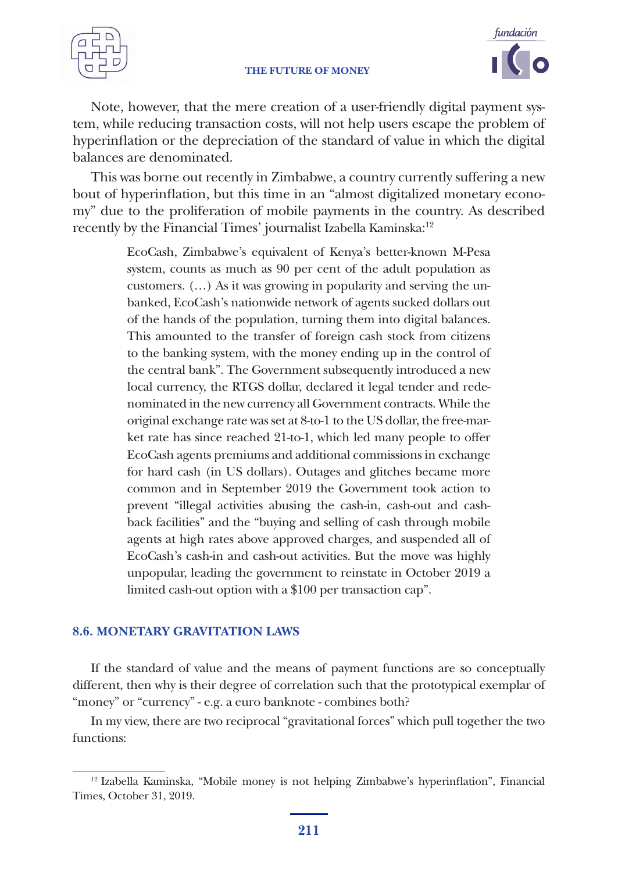



Note, however, that the mere creation of a user-friendly digital payment system, while reducing transaction costs, will not help users escape the problem of hyperinflation or the depreciation of the standard of value in which the digital balances are denominated.

This was borne out recently in Zimbabwe, a country currently suffering a new bout of hyperinflation, but this time in an "almost digitalized monetary economy" due to the proliferation of mobile payments in the country. As described recently by the Financial Times' journalist Izabella Kaminska: 12

> EcoCash, Zimbabwe's equivalent of Kenya's better-known M-Pesa system, counts as much as 90 per cent of the adult population as customers. (…) As it was growing in popularity and serving the unbanked, EcoCash's nationwide network of agents sucked dollars out of the hands of the population, turning them into digital balances. This amounted to the transfer of foreign cash stock from citizens to the banking system, with the money ending up in the control of the central bank". The Government subsequently introduced a new local currency, the RTGS dollar, declared it legal tender and redenominated in the new currency all Government contracts. While the original exchange rate was set at 8-to-1 to the US dollar, the free-market rate has since reached 21-to-1, which led many people to offer EcoCash agents premiums and additional commissions in exchange for hard cash (in US dollars). Outages and glitches became more common and in September 2019 the Government took action to prevent "illegal activities abusing the cash-in, cash-out and cashback facilities" and the "buying and selling of cash through mobile agents at high rates above approved charges, and suspended all of EcoCash's cash-in and cash-out activities. But the move was highly unpopular, leading the government to reinstate in October 2019 a limited cash-out option with a \$100 per transaction cap".

## **8.6. MONETARY GRAVITATION LAWS**

If the standard of value and the means of payment functions are so conceptually different, then why is their degree of correlation such that the prototypical exemplar of "money" or "currency" - e.g. a euro banknote - combines both?

In my view, there are two reciprocal "gravitational forces" which pull together the two functions:

<sup>&</sup>lt;sup>12</sup> Izabella Kaminska, "Mobile money is not helping Zimbabwe's hyperinflation", Financial Times, October 31, 2019.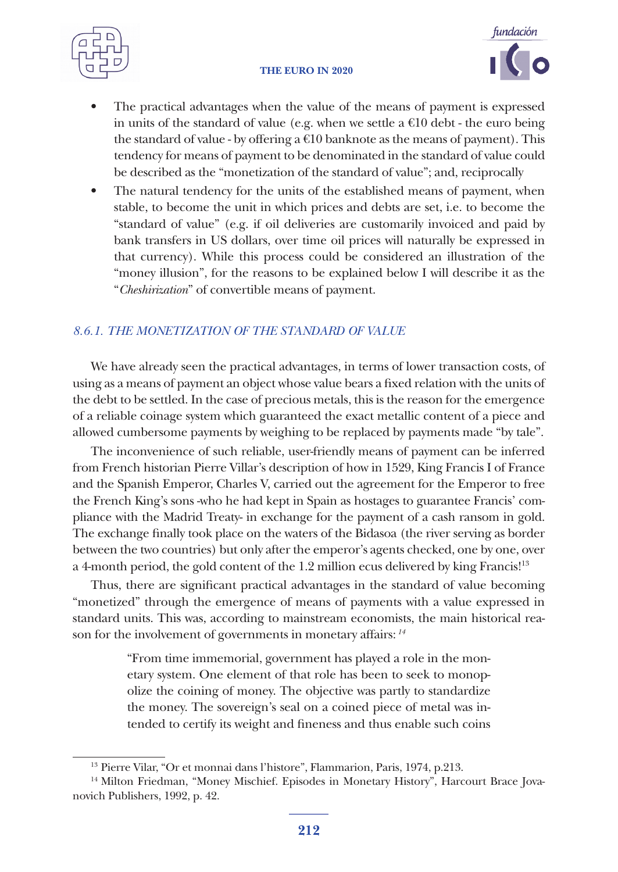



- The practical advantages when the value of the means of payment is expressed in units of the standard of value (e.g. when we settle a  $€10$  debt - the euro being the standard of value - by offering a  $\epsilon$ 10 banknote as the means of payment). This tendency for means of payment to be denominated in the standard of value could be described as the "monetization of the standard of value"; and, reciprocally
- The natural tendency for the units of the established means of payment, when stable, to become the unit in which prices and debts are set, i.e. to become the "standard of value" (e.g. if oil deliveries are customarily invoiced and paid by bank transfers in US dollars, over time oil prices will naturally be expressed in that currency). While this process could be considered an illustration of the "money illusion", for the reasons to be explained below I will describe it as the "*Cheshirization*" of convertible means of payment.

## *8.6.1. THE MONETIZATION OF THE STANDARD OF VALUE*

We have already seen the practical advantages, in terms of lower transaction costs, of using as a means of payment an object whose value bears a fixed relation with the units of the debt to be settled. In the case of precious metals, this is the reason for the emergence of a reliable coinage system which guaranteed the exact metallic content of a piece and allowed cumbersome payments by weighing to be replaced by payments made "by tale".

The inconvenience of such reliable, user-friendly means of payment can be inferred from French historian Pierre Villar's description of how in 1529, King Francis I of France and the Spanish Emperor, Charles V, carried out the agreement for the Emperor to free the French King's sons -who he had kept in Spain as hostages to guarantee Francis' compliance with the Madrid Treaty- in exchange for the payment of a cash ransom in gold. The exchange finally took place on the waters of the Bidasoa (the river serving as border between the two countries) but only after the emperor's agents checked, one by one, over a 4-month period, the gold content of the 1.2 million ecus delivered by king Francis!13

Thus, there are significant practical advantages in the standard of value becoming "monetized" through the emergence of means of payments with a value expressed in standard units. This was, according to mainstream economists, the main historical reason for the involvement of governments in monetary affairs: *<sup>14</sup>*

> "From time immemorial, government has played a role in the monetary system. One element of that role has been to seek to monopolize the coining of money. The objective was partly to standardize the money. The sovereign's seal on a coined piece of metal was intended to certify its weight and fineness and thus enable such coins

<sup>13</sup> Pierre Vilar, "Or et monnai dans l'histore", Flammarion, Paris, 1974, p.213.

<sup>&</sup>lt;sup>14</sup> Milton Friedman, "Money Mischief. Episodes in Monetary History", Harcourt Brace Jovanovich Publishers, 1992, p. 42.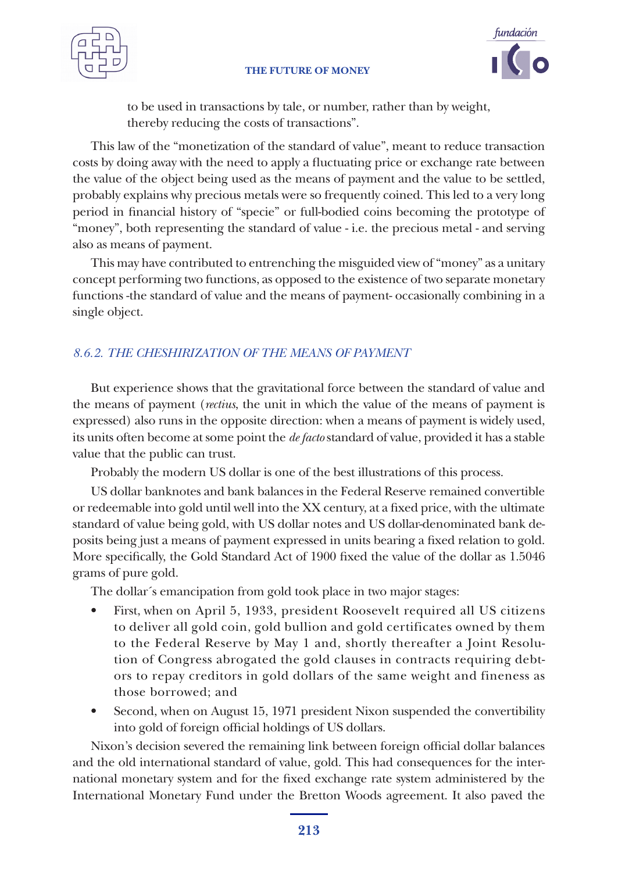



to be used in transactions by tale, or number, rather than by weight, thereby reducing the costs of transactions".

This law of the "monetization of the standard of value", meant to reduce transaction costs by doing away with the need to apply a fluctuating price or exchange rate between the value of the object being used as the means of payment and the value to be settled, probably explains why precious metals were so frequently coined. This led to a very long period in financial history of "specie" or full-bodied coins becoming the prototype of "money", both representing the standard of value - i.e. the precious metal - and serving also as means of payment.

This may have contributed to entrenching the misguided view of "money" as a unitary concept performing two functions, as opposed to the existence of two separate monetary functions -the standard of value and the means of payment- occasionally combining in a single object.

# *8.6.2. THE CHESHIRIZATION OF THE MEANS OF PAYMENT*

But experience shows that the gravitational force between the standard of value and the means of payment (*rectius*, the unit in which the value of the means of payment is expressed) also runs in the opposite direction: when a means of payment is widely used, its units often become at some point the *de facto* standard of value, provided it has a stable value that the public can trust.

Probably the modern US dollar is one of the best illustrations of this process.

US dollar banknotes and bank balances in the Federal Reserve remained convertible or redeemable into gold until well into the XX century, at a fixed price, with the ultimate standard of value being gold, with US dollar notes and US dollar-denominated bank deposits being just a means of payment expressed in units bearing a fixed relation to gold. More specifically, the Gold Standard Act of 1900 fixed the value of the dollar as 1.5046 grams of pure gold.

The dollar´s emancipation from gold took place in two major stages:

- First, when on April 5, 1933, president Roosevelt required all US citizens to deliver all gold coin, gold bullion and gold certificates owned by them to the Federal Reserve by May 1 and, shortly thereafter a Joint Resolution of Congress abrogated the gold clauses in contracts requiring debtors to repay creditors in gold dollars of the same weight and fineness as those borrowed; and
- Second, when on August 15, 1971 president Nixon suspended the convertibility into gold of foreign official holdings of US dollars.

Nixon's decision severed the remaining link between foreign official dollar balances and the old international standard of value, gold. This had consequences for the international monetary system and for the fixed exchange rate system administered by the International Monetary Fund under the Bretton Woods agreement. It also paved the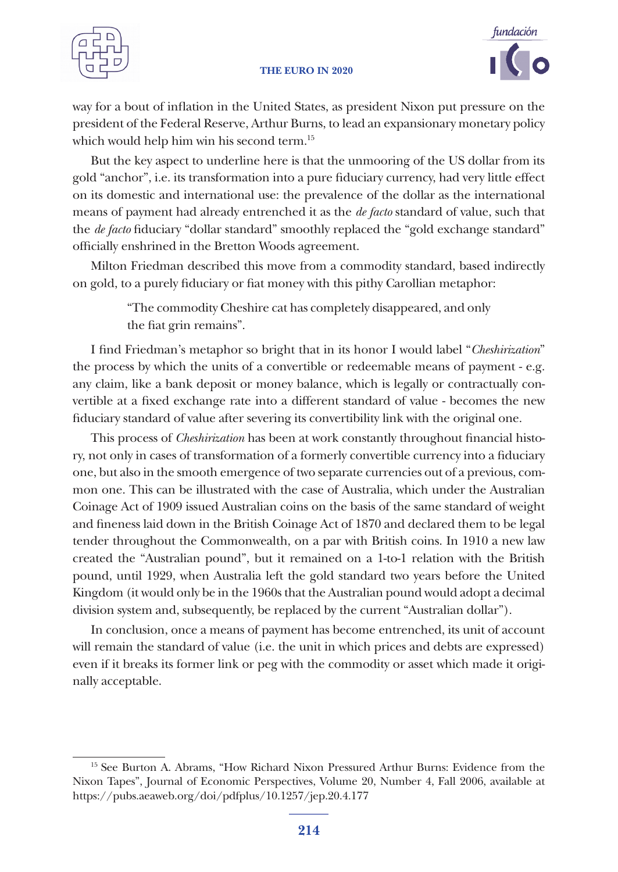



way for a bout of inflation in the United States, as president Nixon put pressure on the president of the Federal Reserve, Arthur Burns, to lead an expansionary monetary policy which would help him win his second term.<sup>15</sup>

But the key aspect to underline here is that the unmooring of the US dollar from its gold "anchor", i.e. its transformation into a pure fiduciary currency, had very little effect on its domestic and international use: the prevalence of the dollar as the international means of payment had already entrenched it as the *de facto* standard of value, such that the *de facto* fiduciary "dollar standard" smoothly replaced the "gold exchange standard" officially enshrined in the Bretton Woods agreement.

Milton Friedman described this move from a commodity standard, based indirectly on gold, to a purely fiduciary or fiat money with this pithy Carollian metaphor:

> "The commodity Cheshire cat has completely disappeared, and only the fiat grin remains".

I find Friedman's metaphor so bright that in its honor I would label "*Cheshirization*" the process by which the units of a convertible or redeemable means of payment - e.g. any claim, like a bank deposit or money balance, which is legally or contractually convertible at a fixed exchange rate into a different standard of value - becomes the new fiduciary standard of value after severing its convertibility link with the original one.

This process of *Cheshirization* has been at work constantly throughout financial history, not only in cases of transformation of a formerly convertible currency into a fiduciary one, but also in the smooth emergence of two separate currencies out of a previous, common one. This can be illustrated with the case of Australia, which under the Australian Coinage Act of 1909 issued Australian coins on the basis of the same standard of weight and fineness laid down in the British Coinage Act of 1870 and declared them to be legal tender throughout the Commonwealth, on a par with British coins. In 1910 a new law created the "Australian pound", but it remained on a 1-to-1 relation with the British pound, until 1929, when Australia left the gold standard two years before the United Kingdom (it would only be in the 1960s that the Australian pound would adopt a decimal division system and, subsequently, be replaced by the current "Australian dollar").

In conclusion, once a means of payment has become entrenched, its unit of account will remain the standard of value (i.e. the unit in which prices and debts are expressed) even if it breaks its former link or peg with the commodity or asset which made it originally acceptable.

<sup>15</sup> See Burton A. Abrams, "How Richard Nixon Pressured Arthur Burns: Evidence from the Nixon Tapes", Journal of Economic Perspectives, Volume 20, Number 4, Fall 2006, available at https://pubs.aeaweb.org/doi/pdfplus/10.1257/jep.20.4.177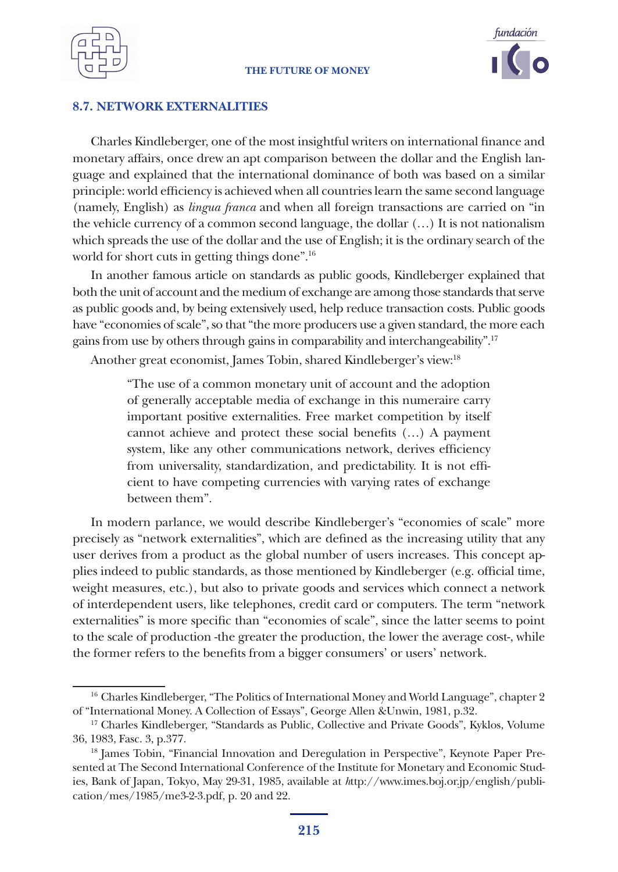



#### **8.7. NETWORK EXTERNALITIES**

Charles Kindleberger, one of the most insightful writers on international finance and monetary affairs, once drew an apt comparison between the dollar and the English language and explained that the international dominance of both was based on a similar principle: world efficiency is achieved when all countries learn the same second language (namely, English) as *lingua franca* and when all foreign transactions are carried on "in the vehicle currency of a common second language, the dollar (…) It is not nationalism which spreads the use of the dollar and the use of English; it is the ordinary search of the world for short cuts in getting things done".16

In another famous article on standards as public goods, Kindleberger explained that both the unit of account and the medium of exchange are among those standards that serve as public goods and, by being extensively used, help reduce transaction costs. Public goods have "economies of scale", so that "the more producers use a given standard, the more each gains from use by others through gains in comparability and interchangeability".17

Another great economist, James Tobin, shared Kindleberger's view:18

"The use of a common monetary unit of account and the adoption of generally acceptable media of exchange in this numeraire carry important positive externalities. Free market competition by itself cannot achieve and protect these social benefits (…) A payment system, like any other communications network, derives efficiency from universality, standardization, and predictability. It is not efficient to have competing currencies with varying rates of exchange between them".

In modern parlance, we would describe Kindleberger's "economies of scale" more precisely as "network externalities", which are defined as the increasing utility that any user derives from a product as the global number of users increases. This concept applies indeed to public standards, as those mentioned by Kindleberger (e.g. official time, weight measures, etc.), but also to private goods and services which connect a network of interdependent users, like telephones, credit card or computers. The term "network externalities" is more specific than "economies of scale", since the latter seems to point to the scale of production -the greater the production, the lower the average cost-, while the former refers to the benefits from a bigger consumers' or users' network.

<sup>&</sup>lt;sup>16</sup> Charles Kindleberger, "The Politics of International Money and World Language", chapter 2 of "International Money. A Collection of Essays", George Allen &Unwin, 1981, p.32.

<sup>17</sup> Charles Kindleberger, "Standards as Public, Collective and Private Goods", Kyklos, Volume 36, 1983, Fasc. 3, p.377.

<sup>&</sup>lt;sup>18</sup> James Tobin, "Financial Innovation and Deregulation in Perspective", Keynote Paper Presented at The Second International Conference of the Institute for Monetary and Economic Studies, Bank of Japan, Tokyo, May 29-31, 1985, available at *h*ttp://www.imes.boj.or.jp/english/publication/mes/1985/me3-2-3.pdf, p. 20 and 22.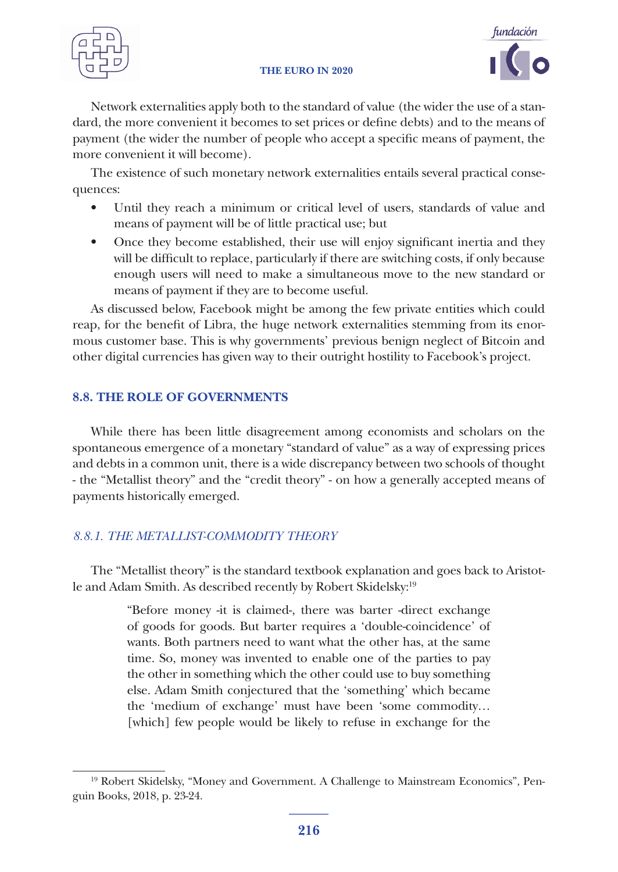#### **THE EURO IN 2020**





Network externalities apply both to the standard of value (the wider the use of a standard, the more convenient it becomes to set prices or define debts) and to the means of payment (the wider the number of people who accept a specific means of payment, the more convenient it will become).

The existence of such monetary network externalities entails several practical consequences:

- Until they reach a minimum or critical level of users, standards of value and means of payment will be of little practical use; but
- Once they become established, their use will enjoy significant inertia and they will be difficult to replace, particularly if there are switching costs, if only because enough users will need to make a simultaneous move to the new standard or means of payment if they are to become useful.

As discussed below, Facebook might be among the few private entities which could reap, for the benefit of Libra, the huge network externalities stemming from its enormous customer base. This is why governments' previous benign neglect of Bitcoin and other digital currencies has given way to their outright hostility to Facebook's project.

## **8.8. THE ROLE OF GOVERNMENTS**

While there has been little disagreement among economists and scholars on the spontaneous emergence of a monetary "standard of value" as a way of expressing prices and debts in a common unit, there is a wide discrepancy between two schools of thought - the "Metallist theory" and the "credit theory" - on how a generally accepted means of payments historically emerged.

## *8.8.1. THE METALLIST-COMMODITY THEORY*

The "Metallist theory" is the standard textbook explanation and goes back to Aristotle and Adam Smith. As described recently by Robert Skidelsky:19

> "Before money -it is claimed-, there was barter -direct exchange of goods for goods. But barter requires a 'double-coincidence' of wants. Both partners need to want what the other has, at the same time. So, money was invented to enable one of the parties to pay the other in something which the other could use to buy something else. Adam Smith conjectured that the 'something' which became the 'medium of exchange' must have been 'some commodity… [which] few people would be likely to refuse in exchange for the

<sup>19</sup> Robert Skidelsky, "Money and Government. A Challenge to Mainstream Economics", Penguin Books, 2018, p. 23-24.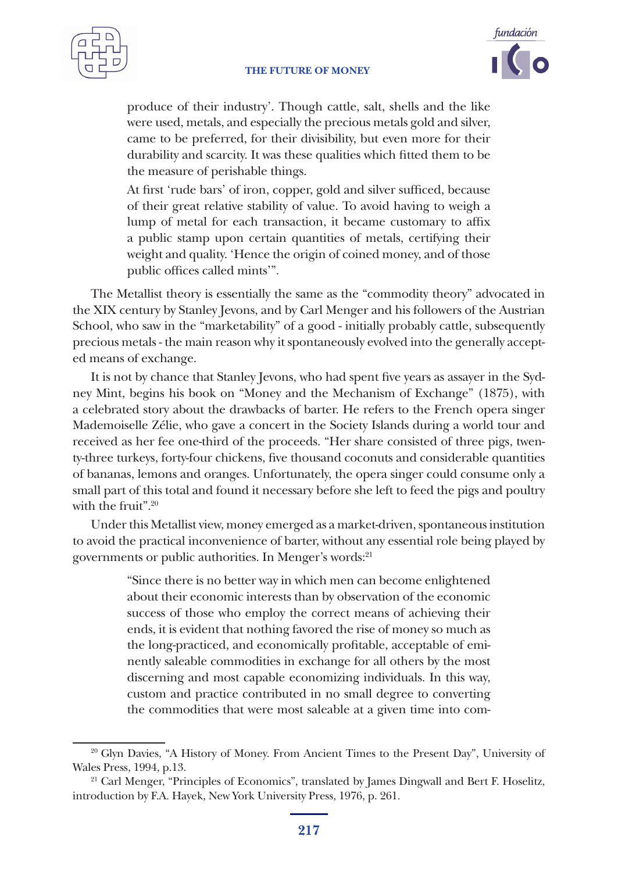#### **THE FUTURE OF MONEY**





produce of their industry'. Though cattle, salt, shells and the like were used, metals, and especially the precious metals gold and silver, came to be preferred, for their divisibility, but even more for their durability and scarcity. It was these qualities which fitted them to be the measure of perishable things.

At first 'rude bars' of iron, copper, gold and silver sufficed, because of their great relative stability of value. To avoid having to weigh a lump of metal for each transaction, it became customary to affix a public stamp upon certain quantities of metals, certifying their weight and quality. 'Hence the origin of coined money, and of those public offices called mints'".

The Metallist theory is essentially the same as the "commodity theory" advocated in the XIX century by Stanley Jevons, and by Carl Menger and his followers of the Austrian School, who saw in the "marketability" of a good - initially probably cattle, subsequently precious metals - the main reason why it spontaneously evolved into the generally accepted means of exchange.

It is not by chance that Stanley Jevons, who had spent five years as assayer in the Sydney Mint, begins his book on "Money and the Mechanism of Exchange" (1875), with a celebrated story about the drawbacks of barter. He refers to the French opera singer Mademoiselle Zélie, who gave a concert in the Society Islands during a world tour and received as her fee one-third of the proceeds. "Her share consisted of three pigs, twenty-three turkeys, forty-four chickens, five thousand coconuts and considerable quantities of bananas, lemons and oranges. Unfortunately, the opera singer could consume only a small part of this total and found it necessary before she left to feed the pigs and poultry with the fruit".<sup>20</sup>

Under this Metallist view, money emerged as a market-driven, spontaneous institution to avoid the practical inconvenience of barter, without any essential role being played by governments or public authorities. In Menger's words:<sup>21</sup>

> "Since there is no better way in which men can become enlightened about their economic interests than by observation of the economic success of those who employ the correct means of achieving their ends, it is evident that nothing favored the rise of money so much as the long-practiced, and economically profitable, acceptable of eminently saleable commodities in exchange for all others by the most discerning and most capable economizing individuals. In this way, custom and practice contributed in no small degree to converting the commodities that were most saleable at a given time into com-

<sup>&</sup>lt;sup>20</sup> Glyn Davies, "A History of Money. From Ancient Times to the Present Day", University of Wales Press, 1994, p.13.

<sup>&</sup>lt;sup>21</sup> Carl Menger, "Principles of Economics", translated by James Dingwall and Bert F. Hoselitz, introduction by F.A. Hayek, New York University Press, 1976, p. 261.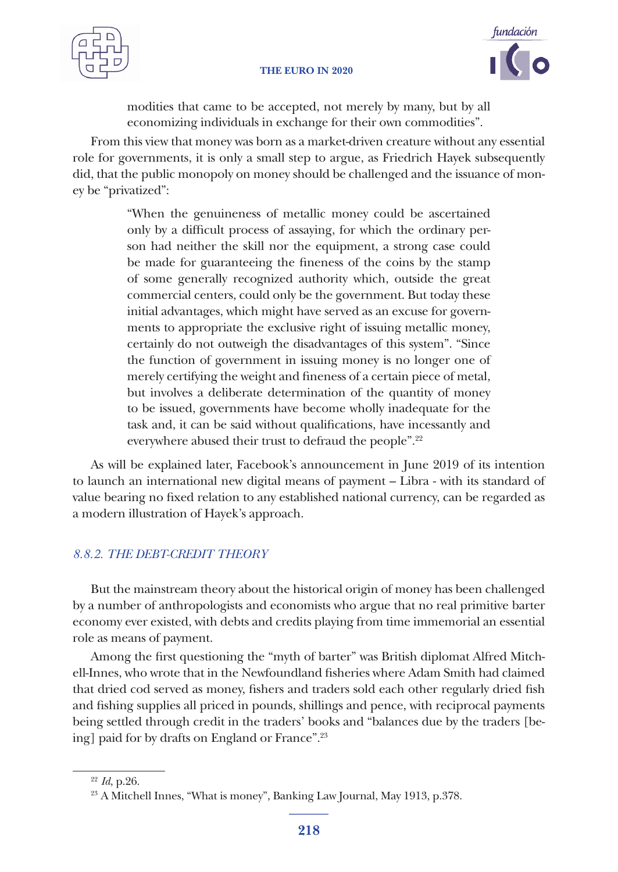



modities that came to be accepted, not merely by many, but by all economizing individuals in exchange for their own commodities".

From this view that money was born as a market-driven creature without any essential role for governments, it is only a small step to argue, as Friedrich Hayek subsequently did, that the public monopoly on money should be challenged and the issuance of money be "privatized":

> "When the genuineness of metallic money could be ascertained only by a difficult process of assaying, for which the ordinary person had neither the skill nor the equipment, a strong case could be made for guaranteeing the fineness of the coins by the stamp of some generally recognized authority which, outside the great commercial centers, could only be the government. But today these initial advantages, which might have served as an excuse for governments to appropriate the exclusive right of issuing metallic money, certainly do not outweigh the disadvantages of this system". "Since the function of government in issuing money is no longer one of merely certifying the weight and fineness of a certain piece of metal, but involves a deliberate determination of the quantity of money to be issued, governments have become wholly inadequate for the task and, it can be said without qualifications, have incessantly and everywhere abused their trust to defraud the people".22

As will be explained later, Facebook's announcement in June 2019 of its intention to launch an international new digital means of payment – Libra - with its standard of value bearing no fixed relation to any established national currency, can be regarded as a modern illustration of Hayek's approach.

## *8.8.2. THE DEBT-CREDIT THEORY*

But the mainstream theory about the historical origin of money has been challenged by a number of anthropologists and economists who argue that no real primitive barter economy ever existed, with debts and credits playing from time immemorial an essential role as means of payment.

Among the first questioning the "myth of barter" was British diplomat Alfred Mitchell-Innes, who wrote that in the Newfoundland fisheries where Adam Smith had claimed that dried cod served as money, fishers and traders sold each other regularly dried fish and fishing supplies all priced in pounds, shillings and pence, with reciprocal payments being settled through credit in the traders' books and "balances due by the traders [being] paid for by drafts on England or France".23

<sup>22</sup> *Id*, p.26.

<sup>&</sup>lt;sup>23</sup> A Mitchell Innes, "What is money", Banking Law Journal, May 1913, p.378.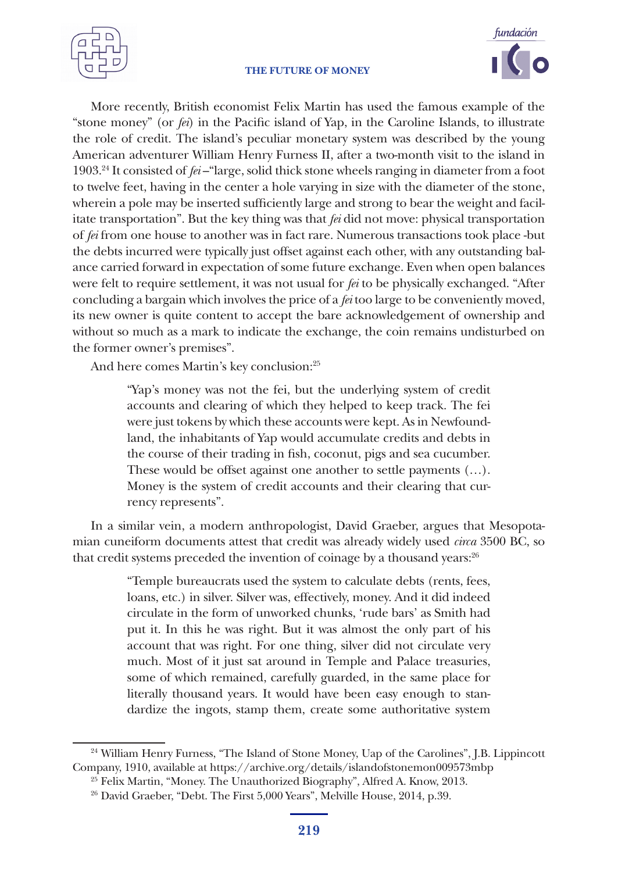





More recently, British economist Felix Martin has used the famous example of the "stone money" (or *fei*) in the Pacific island of Yap, in the Caroline Islands, to illustrate the role of credit. The island's peculiar monetary system was described by the young American adventurer William Henry Furness II, after a two-month visit to the island in 1903.24 It consisted of *fei* –"large, solid thick stone wheels ranging in diameter from a foot to twelve feet, having in the center a hole varying in size with the diameter of the stone, wherein a pole may be inserted sufficiently large and strong to bear the weight and facilitate transportation". But the key thing was that *fei* did not move: physical transportation of *fei* from one house to another was in fact rare. Numerous transactions took place -but the debts incurred were typically just offset against each other, with any outstanding balance carried forward in expectation of some future exchange. Even when open balances were felt to require settlement, it was not usual for *fei* to be physically exchanged. "After concluding a bargain which involves the price of a *fei* too large to be conveniently moved, its new owner is quite content to accept the bare acknowledgement of ownership and without so much as a mark to indicate the exchange, the coin remains undisturbed on the former owner's premises".

And here comes Martin's key conclusion:25

"Yap's money was not the fei, but the underlying system of credit accounts and clearing of which they helped to keep track. The fei were just tokens by which these accounts were kept. As in Newfoundland, the inhabitants of Yap would accumulate credits and debts in the course of their trading in fish, coconut, pigs and sea cucumber. These would be offset against one another to settle payments (…). Money is the system of credit accounts and their clearing that currency represents".

In a similar vein, a modern anthropologist, David Graeber, argues that Mesopotamian cuneiform documents attest that credit was already widely used *circa* 3500 BC, so that credit systems preceded the invention of coinage by a thousand years:<sup>26</sup>

> "Temple bureaucrats used the system to calculate debts (rents, fees, loans, etc.) in silver. Silver was, effectively, money. And it did indeed circulate in the form of unworked chunks, 'rude bars' as Smith had put it. In this he was right. But it was almost the only part of his account that was right. For one thing, silver did not circulate very much. Most of it just sat around in Temple and Palace treasuries, some of which remained, carefully guarded, in the same place for literally thousand years. It would have been easy enough to standardize the ingots, stamp them, create some authoritative system

<sup>24</sup> William Henry Furness, "The Island of Stone Money, Uap of the Carolines", J.B. Lippincott Company, 1910, available at https://archive.org/details/islandofstonemon009573mbp

<sup>&</sup>lt;sup>25</sup> Felix Martin, "Money. The Unauthorized Biography", Alfred A. Know, 2013.

<sup>&</sup>lt;sup>26</sup> David Graeber, "Debt. The First 5,000 Years", Melville House, 2014, p.39.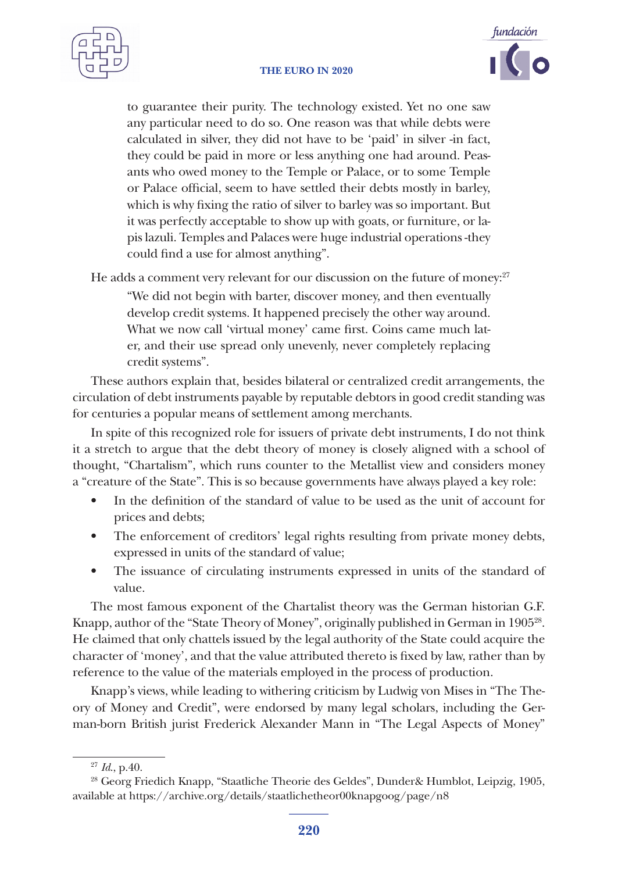



to guarantee their purity. The technology existed. Yet no one saw any particular need to do so. One reason was that while debts were calculated in silver, they did not have to be 'paid' in silver -in fact, they could be paid in more or less anything one had around. Peasants who owed money to the Temple or Palace, or to some Temple or Palace official, seem to have settled their debts mostly in barley, which is why fixing the ratio of silver to barley was so important. But it was perfectly acceptable to show up with goats, or furniture, or lapis lazuli. Temples and Palaces were huge industrial operations -they could find a use for almost anything".

He adds a comment very relevant for our discussion on the future of money:<sup>27</sup>

"We did not begin with barter, discover money, and then eventually develop credit systems. It happened precisely the other way around. What we now call 'virtual money' came first. Coins came much later, and their use spread only unevenly, never completely replacing credit systems".

These authors explain that, besides bilateral or centralized credit arrangements, the circulation of debt instruments payable by reputable debtors in good credit standing was for centuries a popular means of settlement among merchants.

In spite of this recognized role for issuers of private debt instruments, I do not think it a stretch to argue that the debt theory of money is closely aligned with a school of thought, "Chartalism", which runs counter to the Metallist view and considers money a "creature of the State". This is so because governments have always played a key role:

- In the definition of the standard of value to be used as the unit of account for prices and debts;
- The enforcement of creditors' legal rights resulting from private money debts, expressed in units of the standard of value;
- The issuance of circulating instruments expressed in units of the standard of value.

The most famous exponent of the Chartalist theory was the German historian G.F. Knapp, author of the "State Theory of Money", originally published in German in 1905<sup>28</sup>. He claimed that only chattels issued by the legal authority of the State could acquire the character of 'money', and that the value attributed thereto is fixed by law, rather than by reference to the value of the materials employed in the process of production.

Knapp's views, while leading to withering criticism by Ludwig von Mises in "The Theory of Money and Credit", were endorsed by many legal scholars, including the German-born British jurist Frederick Alexander Mann in "The Legal Aspects of Money"

<sup>27</sup> *Id*., p.40.

<sup>28</sup> Georg Friedich Knapp, "Staatliche Theorie des Geldes", Dunder& Humblot, Leipzig, 1905, available at https://archive.org/details/staatlichetheor00knapgoog/page/n8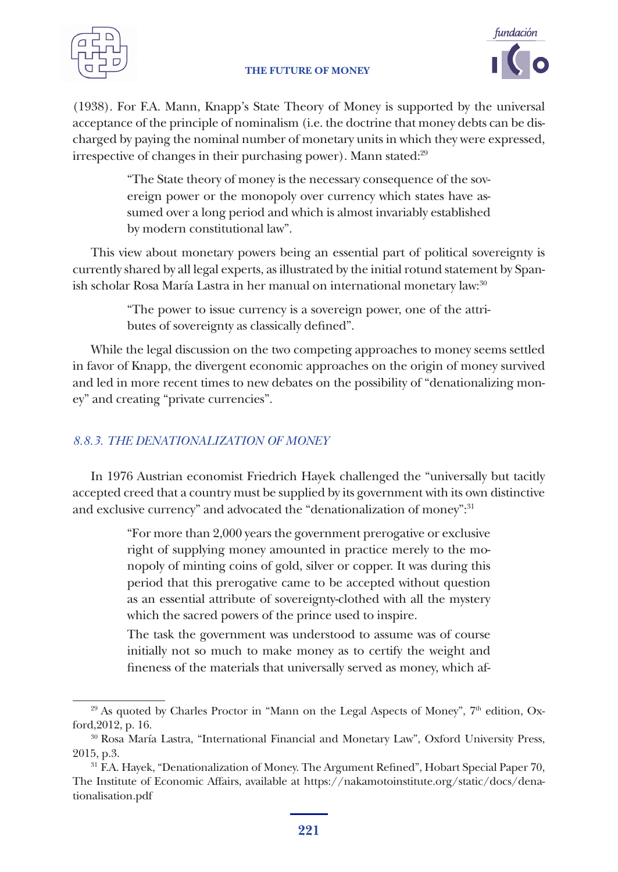



(1938). For F.A. Mann, Knapp's State Theory of Money is supported by the universal acceptance of the principle of nominalism (i.e. the doctrine that money debts can be discharged by paying the nominal number of monetary units in which they were expressed, irrespective of changes in their purchasing power). Mann stated:<sup>29</sup>

> "The State theory of money is the necessary consequence of the sovereign power or the monopoly over currency which states have assumed over a long period and which is almost invariably established by modern constitutional law".

This view about monetary powers being an essential part of political sovereignty is currently shared by all legal experts, as illustrated by the initial rotund statement by Spanish scholar Rosa María Lastra in her manual on international monetary law:30

> "The power to issue currency is a sovereign power, one of the attributes of sovereignty as classically defined".

While the legal discussion on the two competing approaches to money seems settled in favor of Knapp, the divergent economic approaches on the origin of money survived and led in more recent times to new debates on the possibility of "denationalizing money" and creating "private currencies".

# *8.8.3. THE DENATIONALIZATION OF MONEY*

In 1976 Austrian economist Friedrich Hayek challenged the "universally but tacitly accepted creed that a country must be supplied by its government with its own distinctive and exclusive currency" and advocated the "denationalization of money".<sup>31</sup>

> "For more than 2,000 years the government prerogative or exclusive right of supplying money amounted in practice merely to the monopoly of minting coins of gold, silver or copper. It was during this period that this prerogative came to be accepted without question as an essential attribute of sovereignty-clothed with all the mystery which the sacred powers of the prince used to inspire.

> The task the government was understood to assume was of course initially not so much to make money as to certify the weight and fineness of the materials that universally served as money, which af-

 $29$  As quoted by Charles Proctor in "Mann on the Legal Aspects of Money",  $7<sup>th</sup>$  edition, Oxford,2012, p. 16.

<sup>30</sup> Rosa María Lastra, "International Financial and Monetary Law", Oxford University Press, 2015, p.3.

<sup>31</sup> F.A. Hayek, "Denationalization of Money. The Argument Refined", Hobart Special Paper 70, The Institute of Economic Affairs, available at https://nakamotoinstitute.org/static/docs/denationalisation.pdf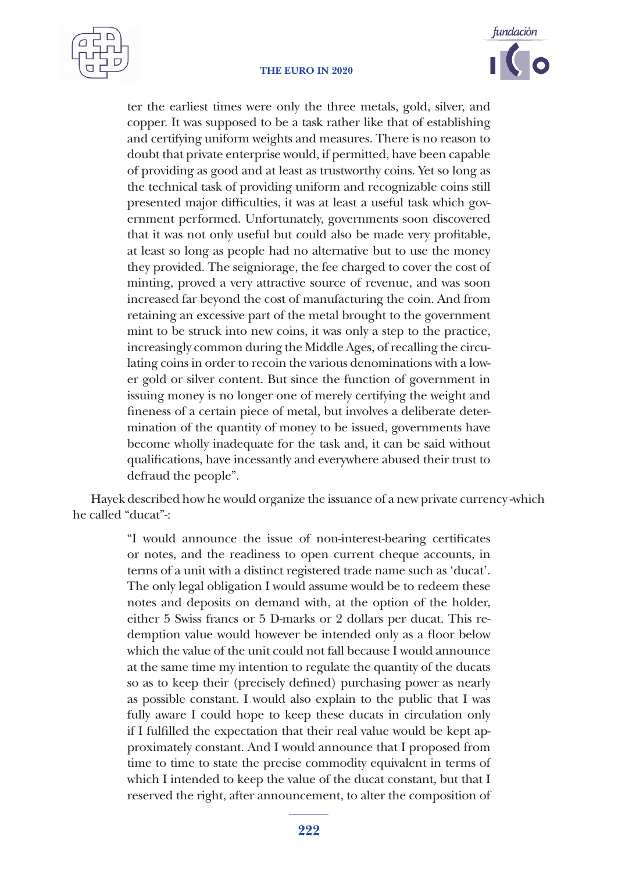#### **THE EURO IN 2020**





ter the earliest times were only the three metals, gold, silver, and copper. It was supposed to be a task rather like that of establishing and certifying uniform weights and measures. There is no reason to doubt that private enterprise would, if permitted, have been capable of providing as good and at least as trustworthy coins. Yet so long as the technical task of providing uniform and recognizable coins still presented major difficulties, it was at least a useful task which government performed. Unfortunately, governments soon discovered that it was not only useful but could also be made very profitable, at least so long as people had no alternative but to use the money they provided. The seigniorage, the fee charged to cover the cost of minting, proved a very attractive source of revenue, and was soon increased far beyond the cost of manufacturing the coin. And from retaining an excessive part of the metal brought to the government mint to be struck into new coins, it was only a step to the practice, increasingly common during the Middle Ages, of recalling the circulating coins in order to recoin the various denominations with a lower gold or silver content. But since the function of government in issuing money is no longer one of merely certifying the weight and fineness of a certain piece of metal, but involves a deliberate determination of the quantity of money to be issued, governments have become wholly inadequate for the task and, it can be said without qualifications, have incessantly and everywhere abused their trust to defraud the people".

Hayek described how he would organize the issuance of a new private currency -which he called "ducat"-:

> "I would announce the issue of non-interest-bearing certificates or notes, and the readiness to open current cheque accounts, in terms of a unit with a distinct registered trade name such as 'ducat'. The only legal obligation I would assume would be to redeem these notes and deposits on demand with, at the option of the holder, either 5 Swiss francs or 5 D-marks or 2 dollars per ducat. This redemption value would however be intended only as a floor below which the value of the unit could not fall because I would announce at the same time my intention to regulate the quantity of the ducats so as to keep their (precisely defined) purchasing power as nearly as possible constant. I would also explain to the public that I was fully aware I could hope to keep these ducats in circulation only if I fulfilled the expectation that their real value would be kept approximately constant. And I would announce that I proposed from time to time to state the precise commodity equivalent in terms of which I intended to keep the value of the ducat constant, but that I reserved the right, after announcement, to alter the composition of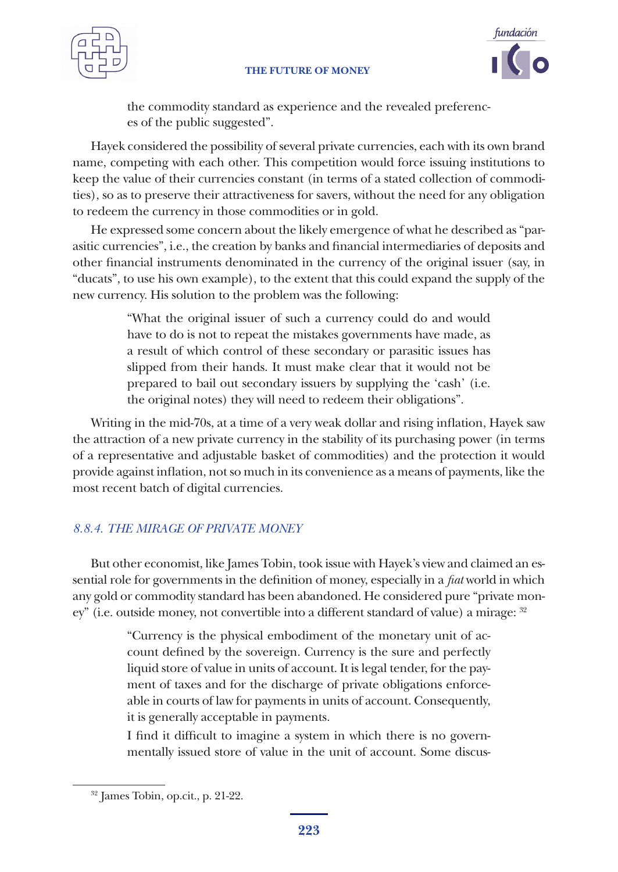



the commodity standard as experience and the revealed preferences of the public suggested".

Hayek considered the possibility of several private currencies, each with its own brand name, competing with each other. This competition would force issuing institutions to keep the value of their currencies constant (in terms of a stated collection of commodities), so as to preserve their attractiveness for savers, without the need for any obligation to redeem the currency in those commodities or in gold.

He expressed some concern about the likely emergence of what he described as "parasitic currencies", i.e., the creation by banks and financial intermediaries of deposits and other financial instruments denominated in the currency of the original issuer (say, in "ducats", to use his own example), to the extent that this could expand the supply of the new currency. His solution to the problem was the following:

> "What the original issuer of such a currency could do and would have to do is not to repeat the mistakes governments have made, as a result of which control of these secondary or parasitic issues has slipped from their hands. It must make clear that it would not be prepared to bail out secondary issuers by supplying the 'cash' (i.e. the original notes) they will need to redeem their obligations".

Writing in the mid-70s, at a time of a very weak dollar and rising inflation, Hayek saw the attraction of a new private currency in the stability of its purchasing power (in terms of a representative and adjustable basket of commodities) and the protection it would provide against inflation, not so much in its convenience as a means of payments, like the most recent batch of digital currencies.

## *8.8.4. THE MIRAGE OF PRIVATE MONEY*

But other economist, like James Tobin, took issue with Hayek's view and claimed an essential role for governments in the definition of money, especially in a *fiat* world in which any gold or commodity standard has been abandoned. He considered pure "private money" (i.e. outside money, not convertible into a different standard of value) a mirage: <sup>32</sup>

> "Currency is the physical embodiment of the monetary unit of account defined by the sovereign. Currency is the sure and perfectly liquid store of value in units of account. It is legal tender, for the payment of taxes and for the discharge of private obligations enforceable in courts of law for payments in units of account. Consequently, it is generally acceptable in payments.

> I find it difficult to imagine a system in which there is no governmentally issued store of value in the unit of account. Some discus-

 $32$  James Tobin, op.cit., p. 21-22.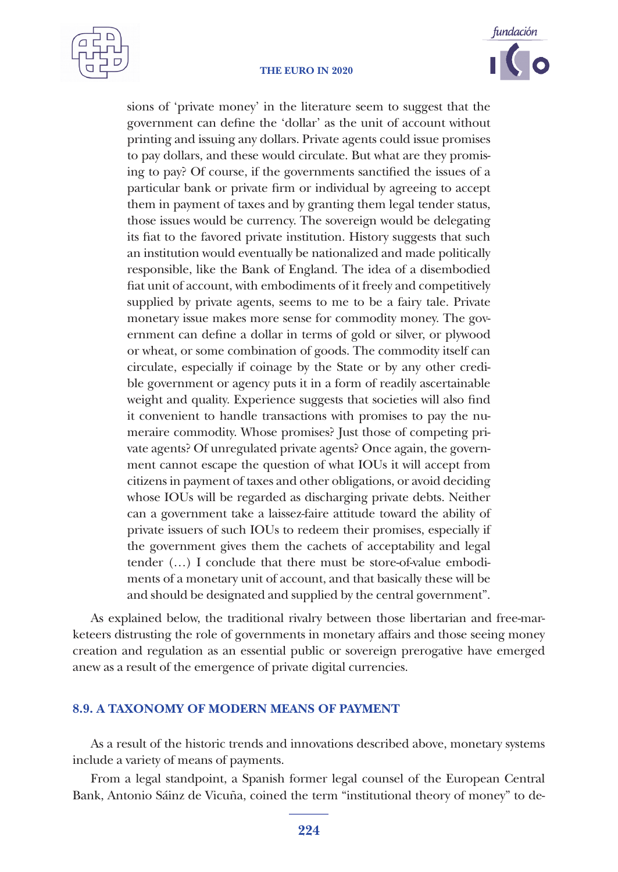#### **THE EURO IN 2020**





sions of 'private money' in the literature seem to suggest that the government can define the 'dollar' as the unit of account without printing and issuing any dollars. Private agents could issue promises to pay dollars, and these would circulate. But what are they promising to pay? Of course, if the governments sanctified the issues of a particular bank or private firm or individual by agreeing to accept them in payment of taxes and by granting them legal tender status, those issues would be currency. The sovereign would be delegating its fiat to the favored private institution. History suggests that such an institution would eventually be nationalized and made politically responsible, like the Bank of England. The idea of a disembodied fiat unit of account, with embodiments of it freely and competitively supplied by private agents, seems to me to be a fairy tale. Private monetary issue makes more sense for commodity money. The government can define a dollar in terms of gold or silver, or plywood or wheat, or some combination of goods. The commodity itself can circulate, especially if coinage by the State or by any other credible government or agency puts it in a form of readily ascertainable weight and quality. Experience suggests that societies will also find it convenient to handle transactions with promises to pay the numeraire commodity. Whose promises? Just those of competing private agents? Of unregulated private agents? Once again, the government cannot escape the question of what IOUs it will accept from citizens in payment of taxes and other obligations, or avoid deciding whose IOUs will be regarded as discharging private debts. Neither can a government take a laissez-faire attitude toward the ability of private issuers of such IOUs to redeem their promises, especially if the government gives them the cachets of acceptability and legal tender (…) I conclude that there must be store-of-value embodiments of a monetary unit of account, and that basically these will be and should be designated and supplied by the central government".

As explained below, the traditional rivalry between those libertarian and free-marketeers distrusting the role of governments in monetary affairs and those seeing money creation and regulation as an essential public or sovereign prerogative have emerged anew as a result of the emergence of private digital currencies.

## **8.9. A TAXONOMY OF MODERN MEANS OF PAYMENT**

As a result of the historic trends and innovations described above, monetary systems include a variety of means of payments.

From a legal standpoint, a Spanish former legal counsel of the European Central Bank, Antonio Sáinz de Vicuña, coined the term "institutional theory of money" to de-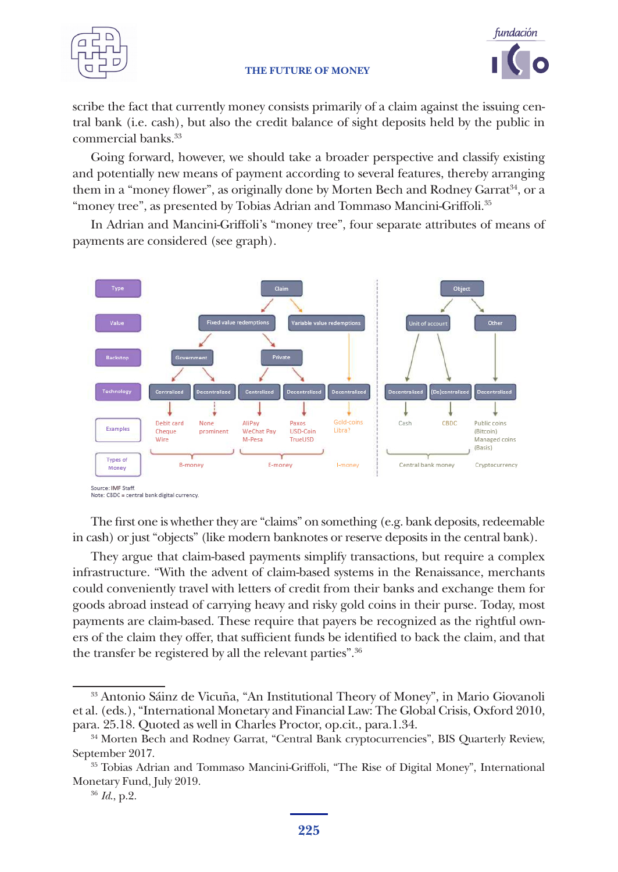



scribe the fact that currently money consists primarily of a claim against the issuing central bank (i.e. cash), but also the credit balance of sight deposits held by the public in commercial banks.33

Going forward, however, we should take a broader perspective and classify existing and potentially new means of payment according to several features, thereby arranging them in a "money flower", as originally done by Morten Bech and Rodney Garrat<sup>34</sup>, or a "money tree", as presented by Tobias Adrian and Tommaso Mancini-Griffoli.35

In Adrian and Mancini-Griffoli's "money tree", four separate attributes of means of payments are considered (see graph).



The first one is whether they are "claims" on something (e.g. bank deposits, redeemable in cash) or just "objects" (like modern banknotes or reserve deposits in the central bank).

They argue that claim-based payments simplify transactions, but require a complex infrastructure. "With the advent of claim-based systems in the Renaissance, merchants could conveniently travel with letters of credit from their banks and exchange them for goods abroad instead of carrying heavy and risky gold coins in their purse. Today, most payments are claim-based. These require that payers be recognized as the rightful owners of the claim they offer, that sufficient funds be identified to back the claim, and that the transfer be registered by all the relevant parties".36

<sup>33</sup> Antonio Sáinz de Vicuña, "An Institutional Theory of Money", in Mario Giovanoli et al. (eds.), "International Monetary and Financial Law: The Global Crisis, Oxford 2010, para. 25.18. Quoted as well in Charles Proctor, op.cit., para.1.34.

<sup>34</sup> Morten Bech and Rodney Garrat, "Central Bank cryptocurrencies", BIS Quarterly Review, September 2017.

<sup>35</sup> Tobias Adrian and Tommaso Mancini-Griffoli, "The Rise of Digital Money", International Monetary Fund, July 2019.

<sup>36</sup> *Id*., p.2.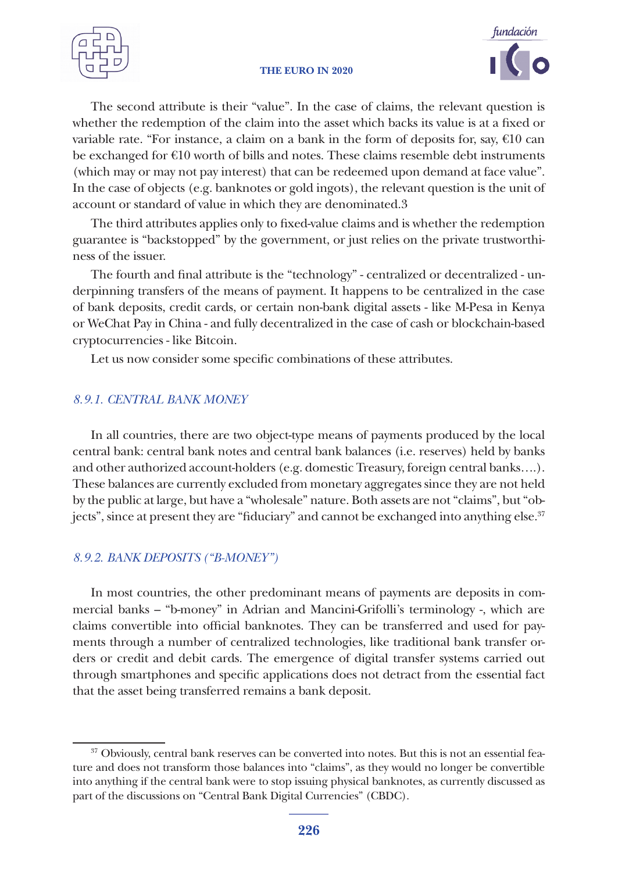



The second attribute is their "value". In the case of claims, the relevant question is whether the redemption of the claim into the asset which backs its value is at a fixed or variable rate. "For instance, a claim on a bank in the form of deposits for, say,  $\epsilon$ 10 can be exchanged for  $\epsilon 10$  worth of bills and notes. These claims resemble debt instruments (which may or may not pay interest) that can be redeemed upon demand at face value". In the case of objects (e.g. banknotes or gold ingots), the relevant question is the unit of account or standard of value in which they are denominated.3

The third attributes applies only to fixed-value claims and is whether the redemption guarantee is "backstopped" by the government, or just relies on the private trustworthiness of the issuer.

The fourth and final attribute is the "technology" - centralized or decentralized - underpinning transfers of the means of payment. It happens to be centralized in the case of bank deposits, credit cards, or certain non-bank digital assets - like M-Pesa in Kenya or WeChat Pay in China - and fully decentralized in the case of cash or blockchain-based cryptocurrencies - like Bitcoin.

Let us now consider some specific combinations of these attributes.

## *8.9.1. CENTRAL BANK MONEY*

In all countries, there are two object-type means of payments produced by the local central bank: central bank notes and central bank balances (i.e. reserves) held by banks and other authorized account-holders (e.g. domestic Treasury, foreign central banks….). These balances are currently excluded from monetary aggregates since they are not held by the public at large, but have a "wholesale" nature. Both assets are not "claims", but "objects", since at present they are "fiduciary" and cannot be exchanged into anything else.<sup>37</sup>

## *8.9.2. BANK DEPOSITS ("B-MONEY")*

In most countries, the other predominant means of payments are deposits in commercial banks – "b-money" in Adrian and Mancini-Grifolli's terminology -, which are claims convertible into official banknotes. They can be transferred and used for payments through a number of centralized technologies, like traditional bank transfer orders or credit and debit cards. The emergence of digital transfer systems carried out through smartphones and specific applications does not detract from the essential fact that the asset being transferred remains a bank deposit.

<sup>&</sup>lt;sup>37</sup> Obviously, central bank reserves can be converted into notes. But this is not an essential feature and does not transform those balances into "claims", as they would no longer be convertible into anything if the central bank were to stop issuing physical banknotes, as currently discussed as part of the discussions on "Central Bank Digital Currencies" (CBDC).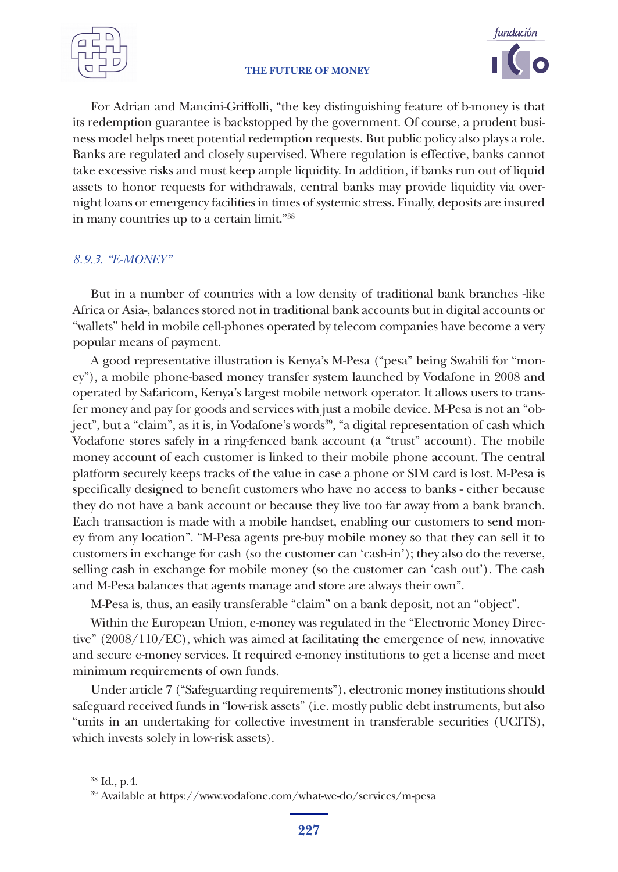



For Adrian and Mancini-Griffolli, "the key distinguishing feature of b-money is that its redemption guarantee is backstopped by the government. Of course, a prudent business model helps meet potential redemption requests. But public policy also plays a role. Banks are regulated and closely supervised. Where regulation is effective, banks cannot take excessive risks and must keep ample liquidity. In addition, if banks run out of liquid assets to honor requests for withdrawals, central banks may provide liquidity via overnight loans or emergency facilities in times of systemic stress. Finally, deposits are insured in many countries up to a certain limit."38

## *8.9.3. "E-MONEY"*

But in a number of countries with a low density of traditional bank branches -like Africa or Asia-, balances stored not in traditional bank accounts but in digital accounts or "wallets" held in mobile cell-phones operated by telecom companies have become a very popular means of payment.

A good representative illustration is Kenya's M-Pesa ("pesa" being Swahili for "money"), a mobile phone-based money transfer system launched by Vodafone in 2008 and operated by Safaricom, Kenya's largest mobile network operator. It allows users to transfer money and pay for goods and services with just a mobile device. M-Pesa is not an "object", but a "claim", as it is, in Vodafone's words<sup>39</sup>, "a digital representation of cash which Vodafone stores safely in a ring-fenced bank account (a "trust" account). The mobile money account of each customer is linked to their mobile phone account. The central platform securely keeps tracks of the value in case a phone or SIM card is lost. M-Pesa is specifically designed to benefit customers who have no access to banks - either because they do not have a bank account or because they live too far away from a bank branch. Each transaction is made with a mobile handset, enabling our customers to send money from any location". "M-Pesa agents pre-buy mobile money so that they can sell it to customers in exchange for cash (so the customer can 'cash-in'); they also do the reverse, selling cash in exchange for mobile money (so the customer can 'cash out'). The cash and M-Pesa balances that agents manage and store are always their own".

M-Pesa is, thus, an easily transferable "claim" on a bank deposit, not an "object".

Within the European Union, e-money was regulated in the "Electronic Money Directive" (2008/110/EC), which was aimed at facilitating the emergence of new, innovative and secure e-money services. It required e-money institutions to get a license and meet minimum requirements of own funds.

Under article 7 ("Safeguarding requirements"), electronic money institutions should safeguard received funds in "low-risk assets" (i.e. mostly public debt instruments, but also "units in an undertaking for collective investment in transferable securities (UCITS), which invests solely in low-risk assets).

<sup>38</sup> Id., p.4.

<sup>39</sup> Available at https://www.vodafone.com/what-we-do/services/m-pesa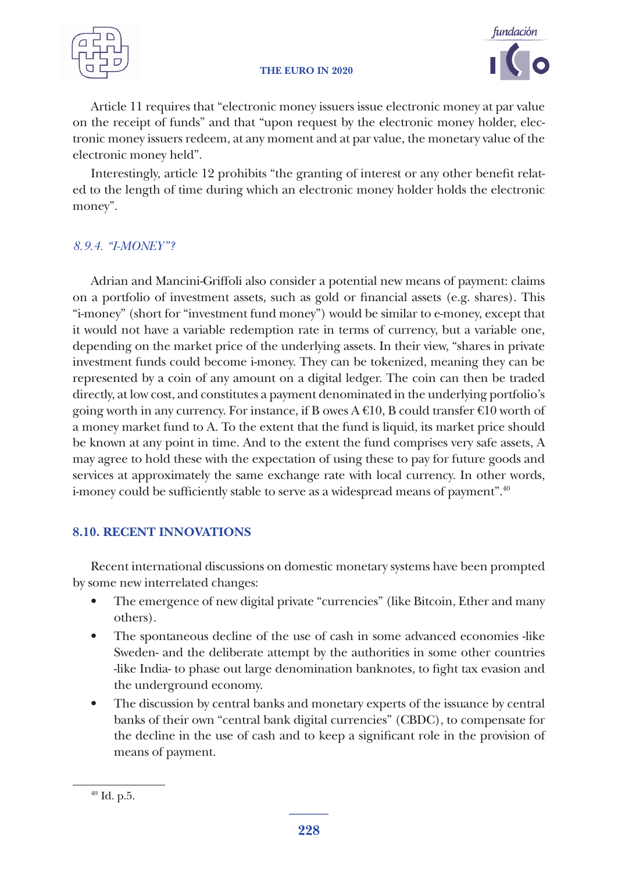



Article 11 requires that "electronic money issuers issue electronic money at par value on the receipt of funds" and that "upon request by the electronic money holder, electronic money issuers redeem, at any moment and at par value, the monetary value of the electronic money held".

Interestingly, article 12 prohibits "the granting of interest or any other benefit related to the length of time during which an electronic money holder holds the electronic money".

# *8.9.4. "I-MONEY"?*

Adrian and Mancini-Griffoli also consider a potential new means of payment: claims on a portfolio of investment assets, such as gold or financial assets (e.g. shares). This "i-money" (short for "investment fund money") would be similar to e-money, except that it would not have a variable redemption rate in terms of currency, but a variable one, depending on the market price of the underlying assets. In their view, "shares in private investment funds could become i-money. They can be tokenized, meaning they can be represented by a coin of any amount on a digital ledger. The coin can then be traded directly, at low cost, and constitutes a payment denominated in the underlying portfolio's going worth in any currency. For instance, if B owes A  $\epsilon$ 10, B could transfer  $\epsilon$ 10 worth of a money market fund to A. To the extent that the fund is liquid, its market price should be known at any point in time. And to the extent the fund comprises very safe assets, A may agree to hold these with the expectation of using these to pay for future goods and services at approximately the same exchange rate with local currency. In other words, i-money could be sufficiently stable to serve as a widespread means of payment".<sup>40</sup>

## **8.10. RECENT INNOVATIONS**

Recent international discussions on domestic monetary systems have been prompted by some new interrelated changes:

- The emergence of new digital private "currencies" (like Bitcoin, Ether and many others).
- The spontaneous decline of the use of cash in some advanced economies -like Sweden- and the deliberate attempt by the authorities in some other countries -like India- to phase out large denomination banknotes, to fight tax evasion and the underground economy.
- The discussion by central banks and monetary experts of the issuance by central banks of their own "central bank digital currencies" (CBDC), to compensate for the decline in the use of cash and to keep a significant role in the provision of means of payment.

 $40$  Id. p.5.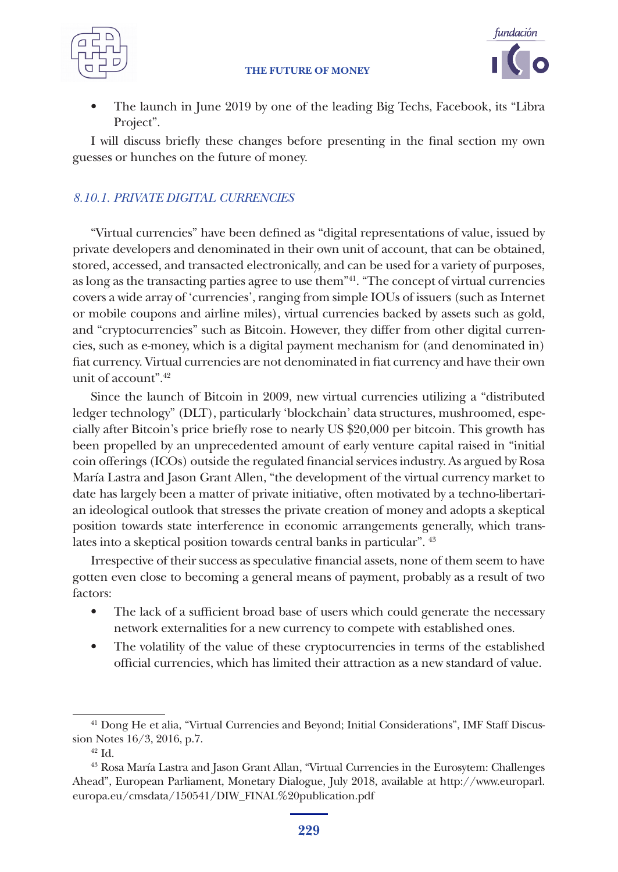



• The launch in June 2019 by one of the leading Big Techs, Facebook, its "Libra Project".

I will discuss briefly these changes before presenting in the final section my own guesses or hunches on the future of money.

# *8.10.1. PRIVATE DIGITAL CURRENCIES*

"Virtual currencies" have been defined as "digital representations of value, issued by private developers and denominated in their own unit of account, that can be obtained, stored, accessed, and transacted electronically, and can be used for a variety of purposes, as long as the transacting parties agree to use them"41. "The concept of virtual currencies covers a wide array of 'currencies', ranging from simple IOUs of issuers (such as Internet or mobile coupons and airline miles), virtual currencies backed by assets such as gold, and "cryptocurrencies" such as Bitcoin. However, they differ from other digital currencies, such as e-money, which is a digital payment mechanism for (and denominated in) fiat currency. Virtual currencies are not denominated in fiat currency and have their own unit of account".42

Since the launch of Bitcoin in 2009, new virtual currencies utilizing a "distributed ledger technology" (DLT), particularly 'blockchain' data structures, mushroomed, especially after Bitcoin's price briefly rose to nearly US \$20,000 per bitcoin. This growth has been propelled by an unprecedented amount of early venture capital raised in "initial coin offerings (ICOs) outside the regulated financial services industry. As argued by Rosa María Lastra and Jason Grant Allen, "the development of the virtual currency market to date has largely been a matter of private initiative, often motivated by a techno-libertarian ideological outlook that stresses the private creation of money and adopts a skeptical position towards state interference in economic arrangements generally, which translates into a skeptical position towards central banks in particular". 43

Irrespective of their success as speculative financial assets, none of them seem to have gotten even close to becoming a general means of payment, probably as a result of two factors:

- The lack of a sufficient broad base of users which could generate the necessary network externalities for a new currency to compete with established ones.
- The volatility of the value of these cryptocurrencies in terms of the established official currencies, which has limited their attraction as a new standard of value.

<sup>41</sup> Dong He et alia, "Virtual Currencies and Beyond; Initial Considerations", IMF Staff Discussion Notes 16/3, 2016, p.7.

 $42$  Id.

<sup>43</sup> Rosa María Lastra and Jason Grant Allan, "Virtual Currencies in the Eurosytem: Challenges Ahead", European Parliament, Monetary Dialogue, July 2018, available at http://www.europarl. europa.eu/cmsdata/150541/DIW\_FINAL%20publication.pdf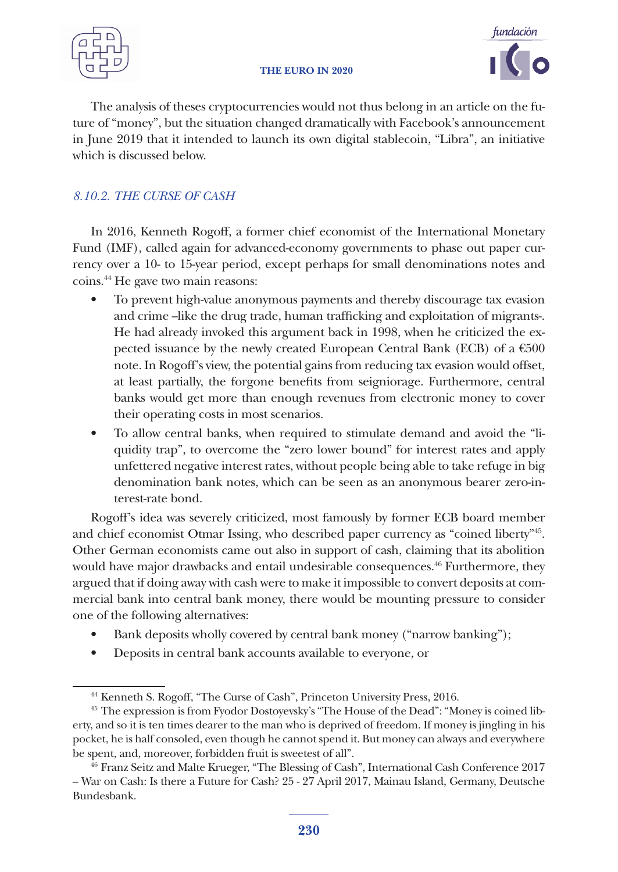

#### **THE EURO IN 2020**



The analysis of theses cryptocurrencies would not thus belong in an article on the future of "money", but the situation changed dramatically with Facebook's announcement in June 2019 that it intended to launch its own digital stablecoin, "Libra", an initiative which is discussed below.

# *8.10.2. THE CURSE OF CASH*

In 2016, Kenneth Rogoff, a former chief economist of the International Monetary Fund (IMF), called again for advanced-economy governments to phase out paper currency over a 10- to 15-year period, except perhaps for small denominations notes and coins.44 He gave two main reasons:

- To prevent high-value anonymous payments and thereby discourage tax evasion and crime --like the drug trade, human trafficking and exploitation of migrants-. He had already invoked this argument back in 1998, when he criticized the expected issuance by the newly created European Central Bank (ECB) of a €500 note. In Rogoff's view, the potential gains from reducing tax evasion would offset, at least partially, the forgone benefits from seigniorage. Furthermore, central banks would get more than enough revenues from electronic money to cover their operating costs in most scenarios.
- To allow central banks, when required to stimulate demand and avoid the "liquidity trap", to overcome the "zero lower bound" for interest rates and apply unfettered negative interest rates, without people being able to take refuge in big denomination bank notes, which can be seen as an anonymous bearer zero-interest-rate bond.

Rogoff's idea was severely criticized, most famously by former ECB board member and chief economist Otmar Issing, who described paper currency as "coined liberty"45. Other German economists came out also in support of cash, claiming that its abolition would have major drawbacks and entail undesirable consequences.<sup>46</sup> Furthermore, they argued that if doing away with cash were to make it impossible to convert deposits at commercial bank into central bank money, there would be mounting pressure to consider one of the following alternatives:

- Bank deposits wholly covered by central bank money ("narrow banking");
- Deposits in central bank accounts available to everyone, or

<sup>&</sup>lt;sup>44</sup> Kenneth S. Rogoff, "The Curse of Cash", Princeton University Press, 2016.

<sup>45</sup> The expression is from Fyodor Dostoyevsky's "The House of the Dead": "Money is coined liberty, and so it is ten times dearer to the man who is deprived of freedom. If money is jingling in his pocket, he is half consoled, even though he cannot spend it. But money can always and everywhere be spent, and, moreover, forbidden fruit is sweetest of all".

<sup>46</sup> Franz Seitz and Malte Krueger, "The Blessing of Cash", International Cash Conference 2017 – War on Cash: Is there a Future for Cash? 25 - 27 April 2017, Mainau Island, Germany, Deutsche Bundesbank.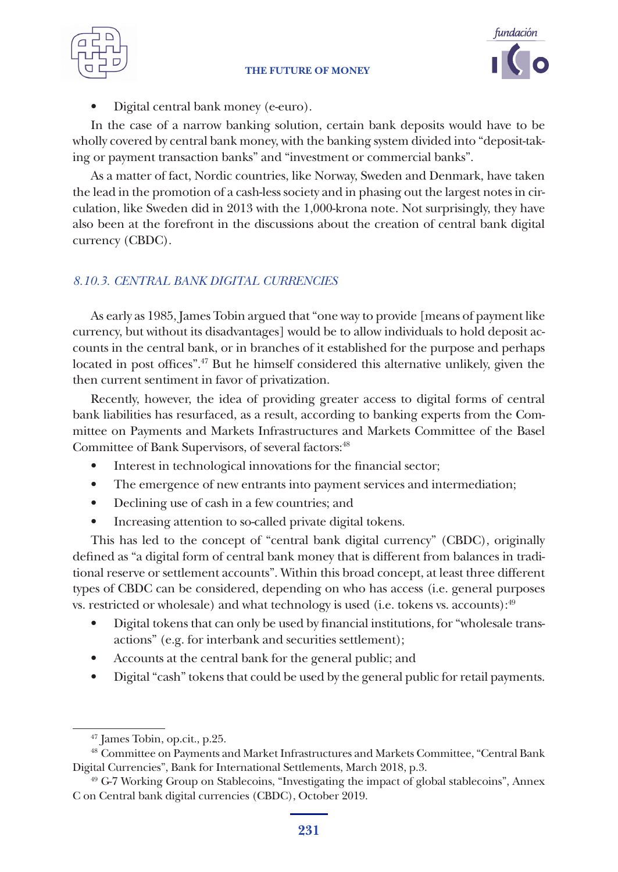



• Digital central bank money (e-euro).

In the case of a narrow banking solution, certain bank deposits would have to be wholly covered by central bank money, with the banking system divided into "deposit-taking or payment transaction banks" and "investment or commercial banks".

As a matter of fact, Nordic countries, like Norway, Sweden and Denmark, have taken the lead in the promotion of a cash-less society and in phasing out the largest notes in circulation, like Sweden did in 2013 with the 1,000-krona note. Not surprisingly, they have also been at the forefront in the discussions about the creation of central bank digital currency (CBDC).

## *8.10.3. CENTRAL BANK DIGITAL CURRENCIES*

As early as 1985, James Tobin argued that "one way to provide [means of payment like currency, but without its disadvantages] would be to allow individuals to hold deposit accounts in the central bank, or in branches of it established for the purpose and perhaps located in post offices".47 But he himself considered this alternative unlikely, given the then current sentiment in favor of privatization.

Recently, however, the idea of providing greater access to digital forms of central bank liabilities has resurfaced, as a result, according to banking experts from the Committee on Payments and Markets Infrastructures and Markets Committee of the Basel Committee of Bank Supervisors, of several factors:<sup>48</sup>

- Interest in technological innovations for the financial sector;
- The emergence of new entrants into payment services and intermediation;
- Declining use of cash in a few countries; and
- Increasing attention to so-called private digital tokens.

This has led to the concept of "central bank digital currency" (CBDC), originally defined as "a digital form of central bank money that is different from balances in traditional reserve or settlement accounts". Within this broad concept, at least three different types of CBDC can be considered, depending on who has access (i.e. general purposes vs. restricted or wholesale) and what technology is used (i.e. tokens vs. accounts):49

- Digital tokens that can only be used by financial institutions, for "wholesale transactions" (e.g. for interbank and securities settlement);
- Accounts at the central bank for the general public; and
- Digital "cash" tokens that could be used by the general public for retail payments.

<sup>47</sup> James Tobin, op.cit., p.25.

<sup>48</sup> Committee on Payments and Market Infrastructures and Markets Committee, "Central Bank Digital Currencies", Bank for International Settlements, March 2018, p.3.

<sup>49</sup> G-7 Working Group on Stablecoins, "Investigating the impact of global stablecoins", Annex C on Central bank digital currencies (CBDC), October 2019.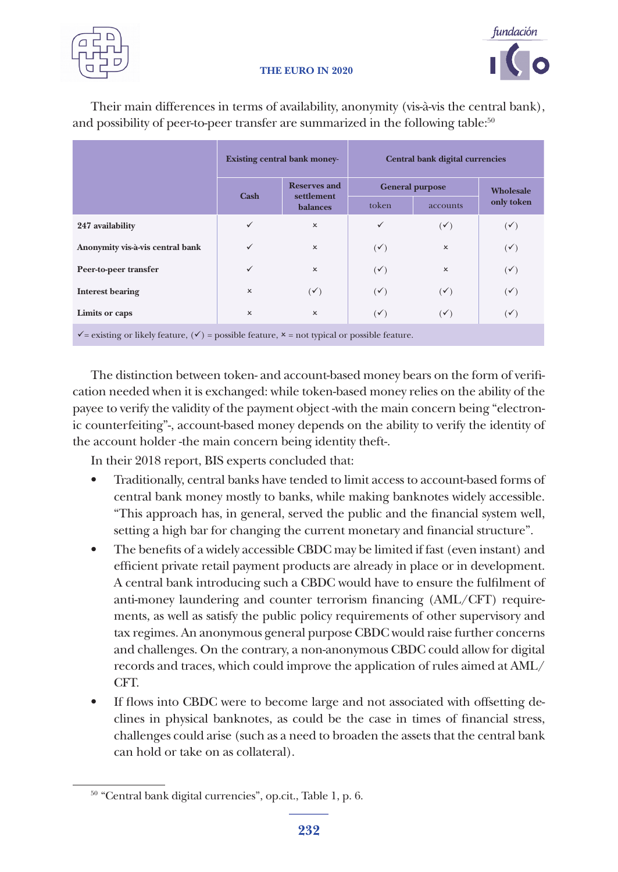



|                                                                                                                               | <b>Existing central bank money-</b> |                                        | Central bank digital currencies |                |                  |
|-------------------------------------------------------------------------------------------------------------------------------|-------------------------------------|----------------------------------------|---------------------------------|----------------|------------------|
|                                                                                                                               | Cash                                | Reserves and<br>settlement<br>balances | <b>General purpose</b>          |                | <b>Wholesale</b> |
|                                                                                                                               |                                     |                                        | token                           | accounts       | only token       |
| 247 availability                                                                                                              | $\checkmark$                        | $\mathsf{x}$                           | $\checkmark$                    | $(\checkmark)$ | $(\checkmark)$   |
| Anonymity vis-à-vis central bank                                                                                              | ✓                                   | $\mathsf{x}$                           | $(\checkmark)$                  | $\times$       | $(\checkmark)$   |
| Peer-to-peer transfer                                                                                                         | ✓                                   | $\mathsf{x}$                           | $(\checkmark)$                  | $\times$       | $(\checkmark)$   |
| <b>Interest bearing</b>                                                                                                       | $\mathsf{x}$                        | $(\checkmark)$                         | $(\checkmark)$                  | $(\checkmark)$ | $(\checkmark)$   |
| Limits or caps                                                                                                                | $\pmb{\times}$                      | $\mathsf{x}$                           | $(\checkmark)$                  | $(\checkmark)$ | $(\checkmark)$   |
| $\checkmark$ = existing or likely feature, $(\checkmark)$ = possible feature, $\checkmark$ = not typical or possible feature. |                                     |                                        |                                 |                |                  |

Their main differences in terms of availability, anonymity (vis-à-vis the central bank), and possibility of peer-to-peer transfer are summarized in the following table:<sup>50</sup>

The distinction between token- and account-based money bears on the form of verification needed when it is exchanged: while token-based money relies on the ability of the payee to verify the validity of the payment object -with the main concern being "electronic counterfeiting"-, account-based money depends on the ability to verify the identity of the account holder -the main concern being identity theft-.

In their 2018 report, BIS experts concluded that:

- Traditionally, central banks have tended to limit access to account-based forms of central bank money mostly to banks, while making banknotes widely accessible. "This approach has, in general, served the public and the financial system well, setting a high bar for changing the current monetary and financial structure".
- The benefits of a widely accessible CBDC may be limited if fast (even instant) and efficient private retail payment products are already in place or in development. A central bank introducing such a CBDC would have to ensure the fulfilment of anti-money laundering and counter terrorism financing (AML/CFT) requirements, as well as satisfy the public policy requirements of other supervisory and tax regimes. An anonymous general purpose CBDC would raise further concerns and challenges. On the contrary, a non-anonymous CBDC could allow for digital records and traces, which could improve the application of rules aimed at AML/ CFT.
- If flows into CBDC were to become large and not associated with offsetting declines in physical banknotes, as could be the case in times of financial stress, challenges could arise (such as a need to broaden the assets that the central bank can hold or take on as collateral).

<sup>50</sup> "Central bank digital currencies", op.cit., Table 1, p. 6.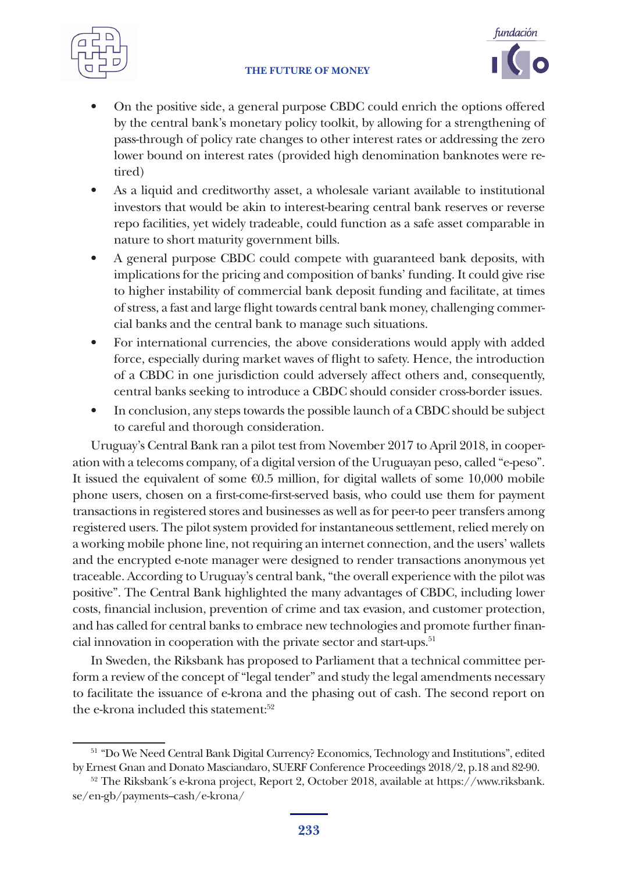



- On the positive side, a general purpose CBDC could enrich the options offered by the central bank's monetary policy toolkit, by allowing for a strengthening of pass-through of policy rate changes to other interest rates or addressing the zero lower bound on interest rates (provided high denomination banknotes were retired)
- As a liquid and creditworthy asset, a wholesale variant available to institutional investors that would be akin to interest-bearing central bank reserves or reverse repo facilities, yet widely tradeable, could function as a safe asset comparable in nature to short maturity government bills.
- A general purpose CBDC could compete with guaranteed bank deposits, with implications for the pricing and composition of banks' funding. It could give rise to higher instability of commercial bank deposit funding and facilitate, at times of stress, a fast and large flight towards central bank money, challenging commercial banks and the central bank to manage such situations.
- For international currencies, the above considerations would apply with added force, especially during market waves of flight to safety. Hence, the introduction of a CBDC in one jurisdiction could adversely affect others and, consequently, central banks seeking to introduce a CBDC should consider cross-border issues.
- In conclusion, any steps towards the possible launch of a CBDC should be subject to careful and thorough consideration.

Uruguay's Central Bank ran a pilot test from November 2017 to April 2018, in cooperation with a telecoms company, of a digital version of the Uruguayan peso, called "e-peso". It issued the equivalent of some  $\epsilon$ 0.5 million, for digital wallets of some 10,000 mobile phone users, chosen on a first-come-first-served basis, who could use them for payment transactions in registered stores and businesses as well as for peer-to peer transfers among registered users. The pilot system provided for instantaneous settlement, relied merely on a working mobile phone line, not requiring an internet connection, and the users' wallets and the encrypted e-note manager were designed to render transactions anonymous yet traceable. According to Uruguay's central bank, "the overall experience with the pilot was positive". The Central Bank highlighted the many advantages of CBDC, including lower costs, financial inclusion, prevention of crime and tax evasion, and customer protection, and has called for central banks to embrace new technologies and promote further financial innovation in cooperation with the private sector and start-ups.<sup>51</sup>

In Sweden, the Riksbank has proposed to Parliament that a technical committee perform a review of the concept of "legal tender" and study the legal amendments necessary to facilitate the issuance of e-krona and the phasing out of cash. The second report on the e-krona included this statement: $52$ 

<sup>51</sup> "Do We Need Central Bank Digital Currency? Economics, Technology and Institutions", edited by Ernest Gnan and Donato Masciandaro, SUERF Conference Proceedings 2018/2, p.18 and 82-90.

<sup>52</sup> The Riksbank´s e-krona project, Report 2, October 2018, available at https://www.riksbank. se/en-gb/payments-cash/e-krona/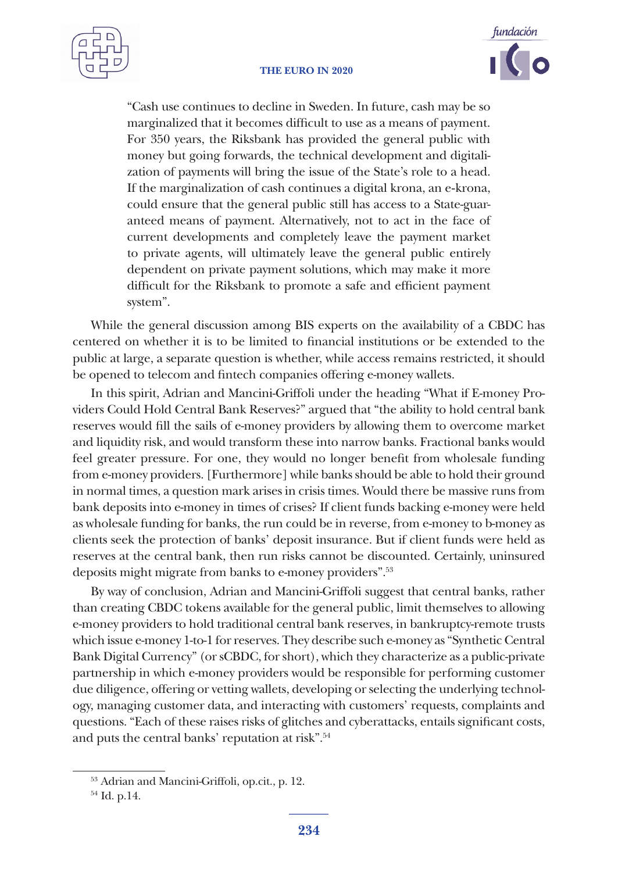



"Cash use continues to decline in Sweden. In future, cash may be so marginalized that it becomes difficult to use as a means of payment. For 350 years, the Riksbank has provided the general public with money but going forwards, the technical development and digitalization of payments will bring the issue of the State's role to a head. If the marginalization of cash continues a digital krona, an e‐krona, could ensure that the general public still has access to a State-guaranteed means of payment. Alternatively, not to act in the face of current developments and completely leave the payment market to private agents, will ultimately leave the general public entirely dependent on private payment solutions, which may make it more difficult for the Riksbank to promote a safe and efficient payment system".

While the general discussion among BIS experts on the availability of a CBDC has centered on whether it is to be limited to financial institutions or be extended to the public at large, a separate question is whether, while access remains restricted, it should be opened to telecom and fintech companies offering e-money wallets.

In this spirit, Adrian and Mancini-Griffoli under the heading "What if E-money Providers Could Hold Central Bank Reserves?" argued that "the ability to hold central bank reserves would fill the sails of e-money providers by allowing them to overcome market and liquidity risk, and would transform these into narrow banks. Fractional banks would feel greater pressure. For one, they would no longer benefit from wholesale funding from e-money providers. [Furthermore] while banks should be able to hold their ground in normal times, a question mark arises in crisis times. Would there be massive runs from bank deposits into e-money in times of crises? If client funds backing e-money were held as wholesale funding for banks, the run could be in reverse, from e-money to b-money as clients seek the protection of banks' deposit insurance. But if client funds were held as reserves at the central bank, then run risks cannot be discounted. Certainly, uninsured deposits might migrate from banks to e-money providers".53

By way of conclusion, Adrian and Mancini-Griffoli suggest that central banks, rather than creating CBDC tokens available for the general public, limit themselves to allowing e-money providers to hold traditional central bank reserves, in bankruptcy-remote trusts which issue e-money 1-to-1 for reserves. They describe such e-money as "Synthetic Central Bank Digital Currency" (or sCBDC, for short), which they characterize as a public-private partnership in which e-money providers would be responsible for performing customer due diligence, offering or vetting wallets, developing or selecting the underlying technology, managing customer data, and interacting with customers' requests, complaints and questions. "Each of these raises risks of glitches and cyberattacks, entails significant costs, and puts the central banks' reputation at risk".54

<sup>53</sup> Adrian and Mancini-Griffoli, op.cit., p. 12.

<sup>54</sup> Id. p.14.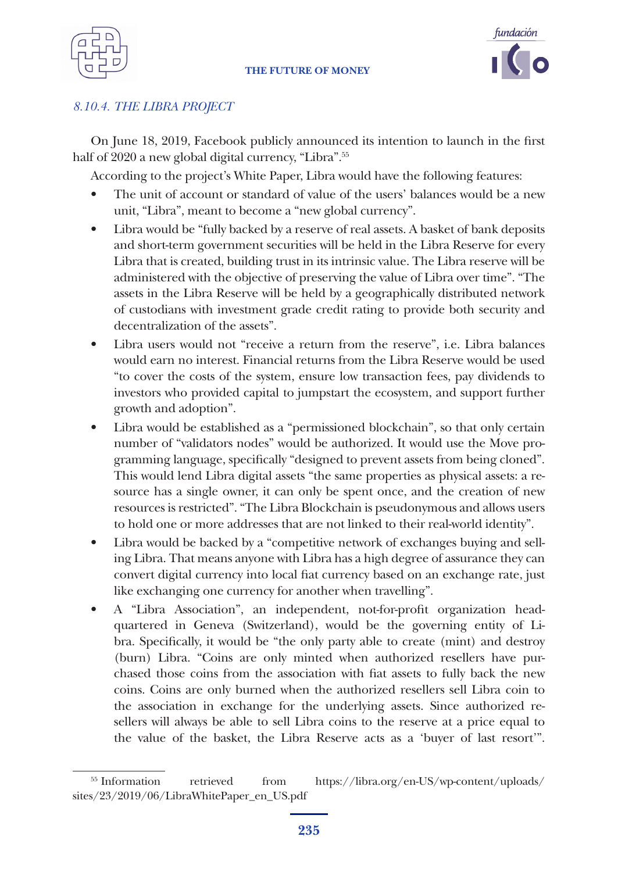



## *8.10.4. THE LIBRA PROJECT*

On June 18, 2019, Facebook publicly announced its intention to launch in the first half of 2020 a new global digital currency, "Libra".55

According to the project's White Paper, Libra would have the following features:

- The unit of account or standard of value of the users' balances would be a new unit, "Libra", meant to become a "new global currency".
- Libra would be "fully backed by a reserve of real assets. A basket of bank deposits and short-term government securities will be held in the Libra Reserve for every Libra that is created, building trust in its intrinsic value. The Libra reserve will be administered with the objective of preserving the value of Libra over time". "The assets in the Libra Reserve will be held by a geographically distributed network of custodians with investment grade credit rating to provide both security and decentralization of the assets".
- Libra users would not "receive a return from the reserve", i.e. Libra balances would earn no interest. Financial returns from the Libra Reserve would be used "to cover the costs of the system, ensure low transaction fees, pay dividends to investors who provided capital to jumpstart the ecosystem, and support further growth and adoption".
- Libra would be established as a "permissioned blockchain", so that only certain number of "validators nodes" would be authorized. It would use the Move programming language, specifically "designed to prevent assets from being cloned". This would lend Libra digital assets "the same properties as physical assets: a resource has a single owner, it can only be spent once, and the creation of new resources is restricted". "The Libra Blockchain is pseudonymous and allows users to hold one or more addresses that are not linked to their real-world identity".
- Libra would be backed by a "competitive network of exchanges buying and selling Libra. That means anyone with Libra has a high degree of assurance they can convert digital currency into local fiat currency based on an exchange rate, just like exchanging one currency for another when travelling".
- A "Libra Association", an independent, not-for-profit organization headquartered in Geneva (Switzerland), would be the governing entity of Libra. Specifically, it would be "the only party able to create (mint) and destroy (burn) Libra. "Coins are only minted when authorized resellers have purchased those coins from the association with fiat assets to fully back the new coins. Coins are only burned when the authorized resellers sell Libra coin to the association in exchange for the underlying assets. Since authorized resellers will always be able to sell Libra coins to the reserve at a price equal to the value of the basket, the Libra Reserve acts as a 'buyer of last resort'".

<sup>55</sup> Information retrieved from https://libra.org/en-US/wp-content/uploads/ sites/23/2019/06/LibraWhitePaper\_en\_US.pdf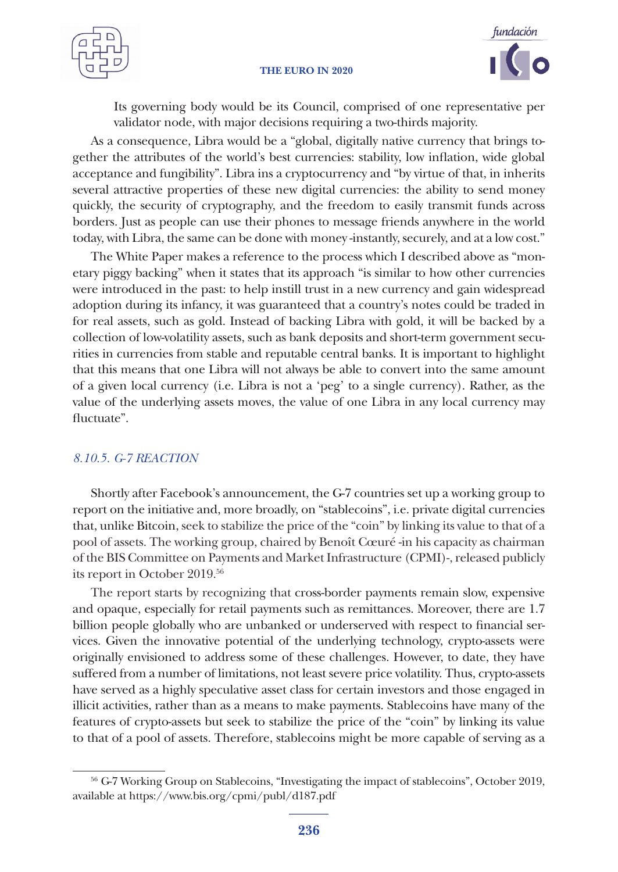



Its governing body would be its Council, comprised of one representative per validator node, with major decisions requiring a two-thirds majority.

As a consequence, Libra would be a "global, digitally native currency that brings together the attributes of the world's best currencies: stability, low inflation, wide global acceptance and fungibility". Libra ins a cryptocurrency and "by virtue of that, in inherits several attractive properties of these new digital currencies: the ability to send money quickly, the security of cryptography, and the freedom to easily transmit funds across borders. Just as people can use their phones to message friends anywhere in the world today, with Libra, the same can be done with money -instantly, securely, and at a low cost."

The White Paper makes a reference to the process which I described above as "monetary piggy backing" when it states that its approach "is similar to how other currencies were introduced in the past: to help instill trust in a new currency and gain widespread adoption during its infancy, it was guaranteed that a country's notes could be traded in for real assets, such as gold. Instead of backing Libra with gold, it will be backed by a collection of low-volatility assets, such as bank deposits and short-term government securities in currencies from stable and reputable central banks. It is important to highlight that this means that one Libra will not always be able to convert into the same amount of a given local currency (i.e. Libra is not a 'peg' to a single currency). Rather, as the value of the underlying assets moves, the value of one Libra in any local currency may fluctuate".

#### *8.10.5. G-7 REACTION*

Shortly after Facebook's announcement, the G-7 countries set up a working group to report on the initiative and, more broadly, on "stablecoins", i.e. private digital currencies that, unlike Bitcoin, seek to stabilize the price of the "coin" by linking its value to that of a pool of assets. The working group, chaired by Benoît Cœuré -in his capacity as chairman of the BIS Committee on Payments and Market Infrastructure (CPMI)-, released publicly its report in October 2019.56

The report starts by recognizing that cross-border payments remain slow, expensive and opaque, especially for retail payments such as remittances. Moreover, there are 1.7 billion people globally who are unbanked or underserved with respect to financial services. Given the innovative potential of the underlying technology, crypto-assets were originally envisioned to address some of these challenges. However, to date, they have suffered from a number of limitations, not least severe price volatility. Thus, crypto-assets have served as a highly speculative asset class for certain investors and those engaged in illicit activities, rather than as a means to make payments. Stablecoins have many of the features of crypto-assets but seek to stabilize the price of the "coin" by linking its value to that of a pool of assets. Therefore, stablecoins might be more capable of serving as a

<sup>56</sup> G-7 Working Group on Stablecoins, "Investigating the impact of stablecoins", October 2019, available at https://www.bis.org/cpmi/publ/d187.pdf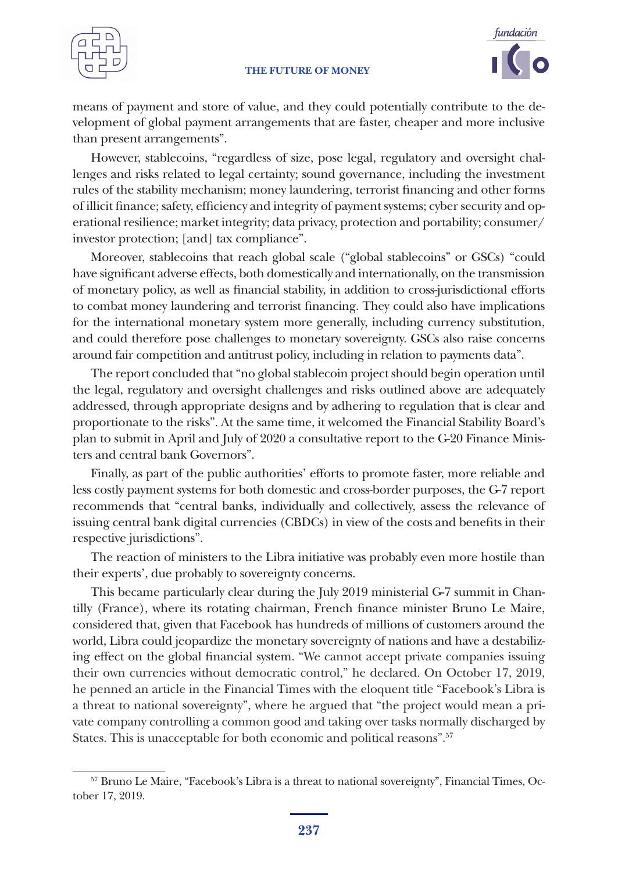



means of payment and store of value, and they could potentially contribute to the development of global payment arrangements that are faster, cheaper and more inclusive than present arrangements".

However, stablecoins, "regardless of size, pose legal, regulatory and oversight challenges and risks related to legal certainty; sound governance, including the investment rules of the stability mechanism; money laundering, terrorist financing and other forms of illicit finance; safety, efficiency and integrity of payment systems; cyber security and operational resilience; market integrity; data privacy, protection and portability; consumer/ investor protection; [and] tax compliance".

Moreover, stablecoins that reach global scale ("global stablecoins" or GSCs) "could have significant adverse effects, both domestically and internationally, on the transmission of monetary policy, as well as financial stability, in addition to cross-jurisdictional efforts to combat money laundering and terrorist financing. They could also have implications for the international monetary system more generally, including currency substitution, and could therefore pose challenges to monetary sovereignty. GSCs also raise concerns around fair competition and antitrust policy, including in relation to payments data".

The report concluded that "no global stablecoin project should begin operation until the legal, regulatory and oversight challenges and risks outlined above are adequately addressed, through appropriate designs and by adhering to regulation that is clear and proportionate to the risks". At the same time, it welcomed the Financial Stability Board's plan to submit in April and July of 2020 a consultative report to the G-20 Finance Ministers and central bank Governors".

Finally, as part of the public authorities' efforts to promote faster, more reliable and less costly payment systems for both domestic and cross-border purposes, the G-7 report recommends that "central banks, individually and collectively, assess the relevance of issuing central bank digital currencies (CBDCs) in view of the costs and benefits in their respective jurisdictions".

The reaction of ministers to the Libra initiative was probably even more hostile than their experts', due probably to sovereignty concerns.

This became particularly clear during the July 2019 ministerial G-7 summit in Chantilly (France), where its rotating chairman, French finance minister Bruno Le Maire, considered that, given that Facebook has hundreds of millions of customers around the world, Libra could jeopardize the monetary sovereignty of nations and have a destabilizing effect on the global financial system. "We cannot accept private companies issuing their own currencies without democratic control," he declared. On October 17, 2019, he penned an article in the Financial Times with the eloquent title "Facebook's Libra is a threat to national sovereignty", where he argued that "the project would mean a private company controlling a common good and taking over tasks normally discharged by States. This is unacceptable for both economic and political reasons".57

<sup>57</sup> Bruno Le Maire, "Facebook's Libra is a threat to national sovereignty", Financial Times, October 17, 2019.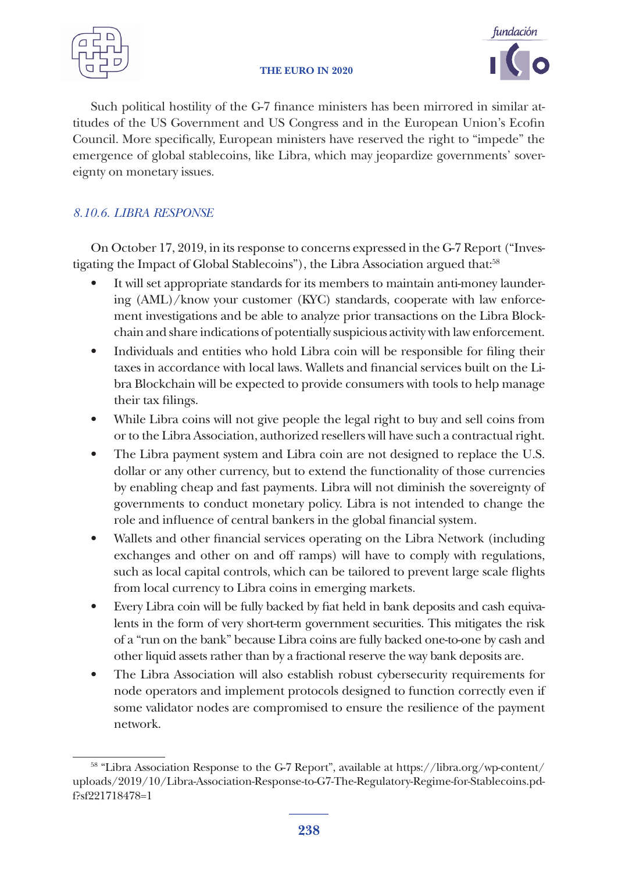

#### **THE EURO IN 2020**



Such political hostility of the G-7 finance ministers has been mirrored in similar attitudes of the US Government and US Congress and in the European Union's Ecofin Council. More specifically, European ministers have reserved the right to "impede" the emergence of global stablecoins, like Libra, which may jeopardize governments' sovereignty on monetary issues.

# *8.10.6. LIBRA RESPONSE*

On October 17, 2019, in its response to concerns expressed in the G-7 Report ("Investigating the Impact of Global Stablecoins"), the Libra Association argued that:<sup>58</sup>

- It will set appropriate standards for its members to maintain anti-money laundering (AML)/know your customer (KYC) standards, cooperate with law enforcement investigations and be able to analyze prior transactions on the Libra Blockchain and share indications of potentially suspicious activity with law enforcement.
- Individuals and entities who hold Libra coin will be responsible for filing their taxes in accordance with local laws. Wallets and financial services built on the Libra Blockchain will be expected to provide consumers with tools to help manage their tax filings.
- While Libra coins will not give people the legal right to buy and sell coins from or to the Libra Association, authorized resellers will have such a contractual right.
- The Libra payment system and Libra coin are not designed to replace the U.S. dollar or any other currency, but to extend the functionality of those currencies by enabling cheap and fast payments. Libra will not diminish the sovereignty of governments to conduct monetary policy. Libra is not intended to change the role and influence of central bankers in the global financial system.
- Wallets and other financial services operating on the Libra Network (including exchanges and other on and off ramps) will have to comply with regulations, such as local capital controls, which can be tailored to prevent large scale flights from local currency to Libra coins in emerging markets.
- Every Libra coin will be fully backed by fiat held in bank deposits and cash equivalents in the form of very short-term government securities. This mitigates the risk of a "run on the bank" because Libra coins are fully backed one-to-one by cash and other liquid assets rather than by a fractional reserve the way bank deposits are.
- The Libra Association will also establish robust cybersecurity requirements for node operators and implement protocols designed to function correctly even if some validator nodes are compromised to ensure the resilience of the payment network.

<sup>58</sup> "Libra Association Response to the G-7 Report", available at https://libra.org/wp-content/ uploads/2019/10/Libra-Association-Response-to-G7-The-Regulatory-Regime-for-Stablecoins.pdf?sf221718478=1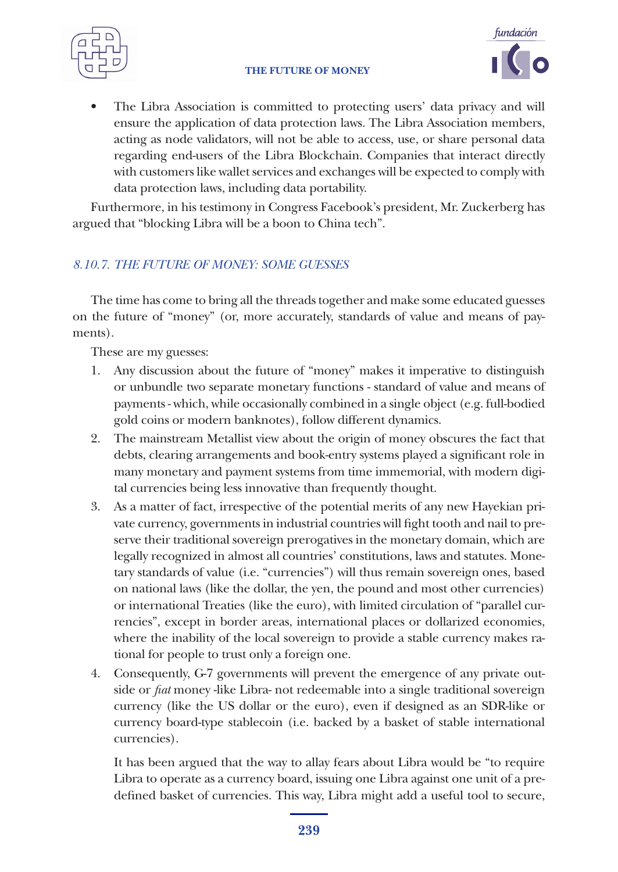



• The Libra Association is committed to protecting users' data privacy and will ensure the application of data protection laws. The Libra Association members, acting as node validators, will not be able to access, use, or share personal data regarding end-users of the Libra Blockchain. Companies that interact directly with customers like wallet services and exchanges will be expected to comply with data protection laws, including data portability.

Furthermore, in his testimony in Congress Facebook's president, Mr. Zuckerberg has argued that "blocking Libra will be a boon to China tech".

# *8.10.7. THE FUTURE OF MONEY: SOME GUESSES*

The time has come to bring all the threads together and make some educated guesses on the future of "money" (or, more accurately, standards of value and means of payments).

These are my guesses:

- 1. Any discussion about the future of "money" makes it imperative to distinguish or unbundle two separate monetary functions - standard of value and means of payments - which, while occasionally combined in a single object (e.g. full-bodied gold coins or modern banknotes), follow different dynamics.
- 2. The mainstream Metallist view about the origin of money obscures the fact that debts, clearing arrangements and book-entry systems played a significant role in many monetary and payment systems from time immemorial, with modern digital currencies being less innovative than frequently thought.
- 3. As a matter of fact, irrespective of the potential merits of any new Hayekian private currency, governments in industrial countries will fight tooth and nail to preserve their traditional sovereign prerogatives in the monetary domain, which are legally recognized in almost all countries' constitutions, laws and statutes. Monetary standards of value (i.e. "currencies") will thus remain sovereign ones, based on national laws (like the dollar, the yen, the pound and most other currencies) or international Treaties (like the euro), with limited circulation of "parallel currencies", except in border areas, international places or dollarized economies, where the inability of the local sovereign to provide a stable currency makes rational for people to trust only a foreign one.
- 4. Consequently, G-7 governments will prevent the emergence of any private outside or *fiat* money -like Libra- not redeemable into a single traditional sovereign currency (like the US dollar or the euro), even if designed as an SDR-like or currency board-type stablecoin (i.e. backed by a basket of stable international currencies).

 It has been argued that the way to allay fears about Libra would be "to require Libra to operate as a currency board, issuing one Libra against one unit of a predefined basket of currencies. This way, Libra might add a useful tool to secure,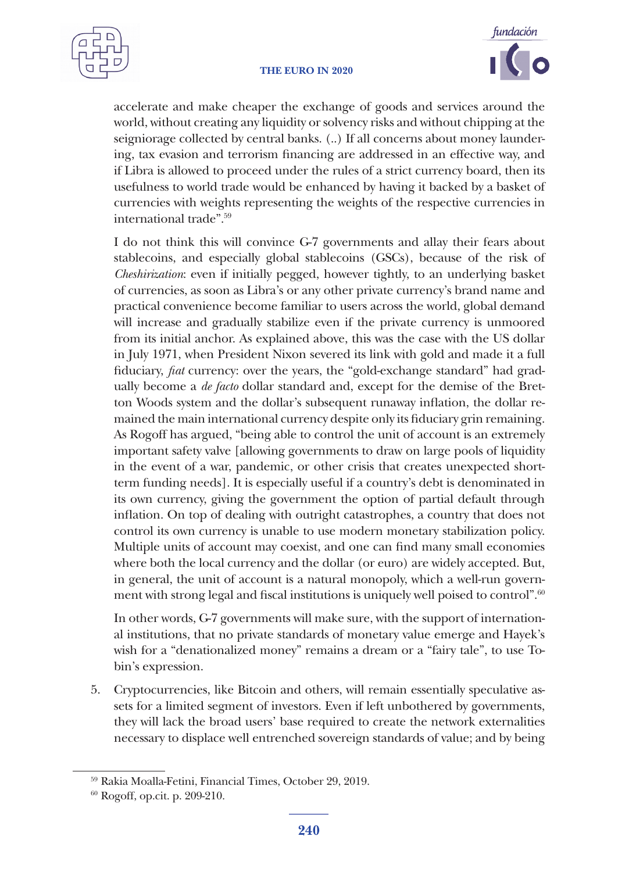#### **THE EURO IN 2020**





accelerate and make cheaper the exchange of goods and services around the world, without creating any liquidity or solvency risks and without chipping at the seigniorage collected by central banks. (..) If all concerns about money laundering, tax evasion and terrorism financing are addressed in an effective way, and if Libra is allowed to proceed under the rules of a strict currency board, then its usefulness to world trade would be enhanced by having it backed by a basket of currencies with weights representing the weights of the respective currencies in international trade".59

I do not think this will convince G-7 governments and allay their fears about stablecoins, and especially global stablecoins (GSCs), because of the risk of *Cheshirization*: even if initially pegged, however tightly, to an underlying basket of currencies, as soon as Libra's or any other private currency's brand name and practical convenience become familiar to users across the world, global demand will increase and gradually stabilize even if the private currency is unmoored from its initial anchor. As explained above, this was the case with the US dollar in July 1971, when President Nixon severed its link with gold and made it a full fiduciary, *fiat* currency: over the years, the "gold-exchange standard" had gradually become a *de facto* dollar standard and, except for the demise of the Bretton Woods system and the dollar's subsequent runaway inflation, the dollar remained the main international currency despite only its fiduciary grin remaining. As Rogoff has argued, "being able to control the unit of account is an extremely important safety valve [allowing governments to draw on large pools of liquidity in the event of a war, pandemic, or other crisis that creates unexpected shortterm funding needs]. It is especially useful if a country's debt is denominated in its own currency, giving the government the option of partial default through inflation. On top of dealing with outright catastrophes, a country that does not control its own currency is unable to use modern monetary stabilization policy. Multiple units of account may coexist, and one can find many small economies where both the local currency and the dollar (or euro) are widely accepted. But, in general, the unit of account is a natural monopoly, which a well-run government with strong legal and fiscal institutions is uniquely well poised to control".60

In other words, G-7 governments will make sure, with the support of international institutions, that no private standards of monetary value emerge and Hayek's wish for a "denationalized money" remains a dream or a "fairy tale", to use Tobin's expression.

5. Cryptocurrencies, like Bitcoin and others, will remain essentially speculative assets for a limited segment of investors. Even if left unbothered by governments, they will lack the broad users' base required to create the network externalities necessary to displace well entrenched sovereign standards of value; and by being

<sup>59</sup> Rakia Moalla-Fetini, Financial Times, October 29, 2019.

<sup>60</sup> Rogoff, op.cit. p. 209-210.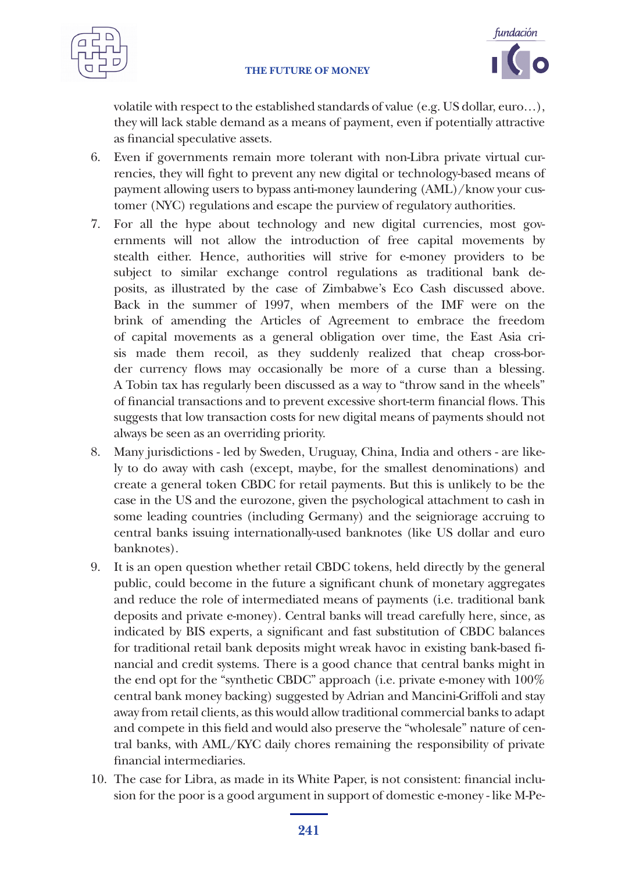



volatile with respect to the established standards of value (e.g. US dollar, euro…), they will lack stable demand as a means of payment, even if potentially attractive as financial speculative assets.

- 6. Even if governments remain more tolerant with non-Libra private virtual currencies, they will fight to prevent any new digital or technology-based means of payment allowing users to bypass anti-money laundering (AML)/know your customer (NYC) regulations and escape the purview of regulatory authorities.
- 7. For all the hype about technology and new digital currencies, most governments will not allow the introduction of free capital movements by stealth either. Hence, authorities will strive for e-money providers to be subject to similar exchange control regulations as traditional bank deposits, as illustrated by the case of Zimbabwe's Eco Cash discussed above. Back in the summer of 1997, when members of the IMF were on the brink of amending the Articles of Agreement to embrace the freedom of capital movements as a general obligation over time, the East Asia crisis made them recoil, as they suddenly realized that cheap cross-border currency flows may occasionally be more of a curse than a blessing. A Tobin tax has regularly been discussed as a way to "throw sand in the wheels" of financial transactions and to prevent excessive short-term financial flows. This suggests that low transaction costs for new digital means of payments should not always be seen as an overriding priority.
- 8. Many jurisdictions led by Sweden, Uruguay, China, India and others are likely to do away with cash (except, maybe, for the smallest denominations) and create a general token CBDC for retail payments. But this is unlikely to be the case in the US and the eurozone, given the psychological attachment to cash in some leading countries (including Germany) and the seigniorage accruing to central banks issuing internationally-used banknotes (like US dollar and euro banknotes).
- 9. It is an open question whether retail CBDC tokens, held directly by the general public, could become in the future a significant chunk of monetary aggregates and reduce the role of intermediated means of payments (i.e. traditional bank deposits and private e-money). Central banks will tread carefully here, since, as indicated by BIS experts, a significant and fast substitution of CBDC balances for traditional retail bank deposits might wreak havoc in existing bank-based financial and credit systems. There is a good chance that central banks might in the end opt for the "synthetic CBDC" approach (i.e. private e-money with 100% central bank money backing) suggested by Adrian and Mancini-Griffoli and stay away from retail clients, as this would allow traditional commercial banks to adapt and compete in this field and would also preserve the "wholesale" nature of central banks, with AML/KYC daily chores remaining the responsibility of private financial intermediaries.
- 10. The case for Libra, as made in its White Paper, is not consistent: financial inclusion for the poor is a good argument in support of domestic e-money - like M-Pe-